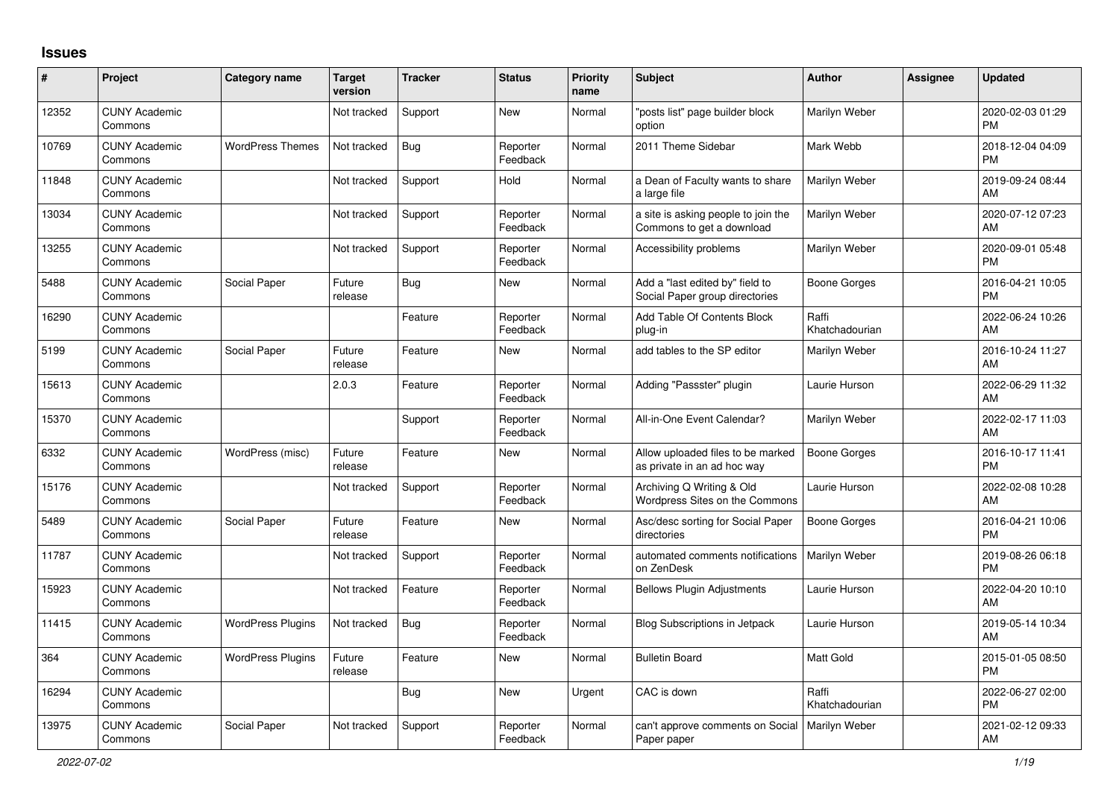## **Issues**

| $\vert$ # | Project                         | <b>Category name</b>     | <b>Target</b><br>version | <b>Tracker</b> | <b>Status</b>        | <b>Priority</b><br>name | <b>Subject</b>                                                    | <b>Author</b>           | Assignee | <b>Updated</b>                |
|-----------|---------------------------------|--------------------------|--------------------------|----------------|----------------------|-------------------------|-------------------------------------------------------------------|-------------------------|----------|-------------------------------|
| 12352     | <b>CUNY Academic</b><br>Commons |                          | Not tracked              | Support        | New                  | Normal                  | "posts list" page builder block<br>option                         | Marilyn Weber           |          | 2020-02-03 01:29<br><b>PM</b> |
| 10769     | <b>CUNY Academic</b><br>Commons | <b>WordPress Themes</b>  | Not tracked              | Bug            | Reporter<br>Feedback | Normal                  | 2011 Theme Sidebar                                                | Mark Webb               |          | 2018-12-04 04:09<br><b>PM</b> |
| 11848     | <b>CUNY Academic</b><br>Commons |                          | Not tracked              | Support        | Hold                 | Normal                  | a Dean of Faculty wants to share<br>a large file                  | Marilyn Weber           |          | 2019-09-24 08:44<br>AM        |
| 13034     | <b>CUNY Academic</b><br>Commons |                          | Not tracked              | Support        | Reporter<br>Feedback | Normal                  | a site is asking people to join the<br>Commons to get a download  | Marilyn Weber           |          | 2020-07-12 07:23<br>AM        |
| 13255     | <b>CUNY Academic</b><br>Commons |                          | Not tracked              | Support        | Reporter<br>Feedback | Normal                  | Accessibility problems                                            | Marilyn Weber           |          | 2020-09-01 05:48<br><b>PM</b> |
| 5488      | <b>CUNY Academic</b><br>Commons | Social Paper             | Future<br>release        | <b>Bug</b>     | New                  | Normal                  | Add a "last edited by" field to<br>Social Paper group directories | Boone Gorges            |          | 2016-04-21 10:05<br><b>PM</b> |
| 16290     | <b>CUNY Academic</b><br>Commons |                          |                          | Feature        | Reporter<br>Feedback | Normal                  | Add Table Of Contents Block<br>plug-in                            | Raffi<br>Khatchadourian |          | 2022-06-24 10:26<br>AM        |
| 5199      | <b>CUNY Academic</b><br>Commons | Social Paper             | Future<br>release        | Feature        | New                  | Normal                  | add tables to the SP editor                                       | Marilyn Weber           |          | 2016-10-24 11:27<br>AM        |
| 15613     | <b>CUNY Academic</b><br>Commons |                          | 2.0.3                    | Feature        | Reporter<br>Feedback | Normal                  | Adding "Passster" plugin                                          | Laurie Hurson           |          | 2022-06-29 11:32<br>AM        |
| 15370     | <b>CUNY Academic</b><br>Commons |                          |                          | Support        | Reporter<br>Feedback | Normal                  | All-in-One Event Calendar?                                        | Marilyn Weber           |          | 2022-02-17 11:03<br>AM        |
| 6332      | <b>CUNY Academic</b><br>Commons | WordPress (misc)         | Future<br>release        | Feature        | New                  | Normal                  | Allow uploaded files to be marked<br>as private in an ad hoc way  | Boone Gorges            |          | 2016-10-17 11:41<br><b>PM</b> |
| 15176     | <b>CUNY Academic</b><br>Commons |                          | Not tracked              | Support        | Reporter<br>Feedback | Normal                  | Archiving Q Writing & Old<br>Wordpress Sites on the Commons       | Laurie Hurson           |          | 2022-02-08 10:28<br>AM        |
| 5489      | <b>CUNY Academic</b><br>Commons | Social Paper             | Future<br>release        | Feature        | New                  | Normal                  | Asc/desc sorting for Social Paper<br>directories                  | <b>Boone Gorges</b>     |          | 2016-04-21 10:06<br><b>PM</b> |
| 11787     | <b>CUNY Academic</b><br>Commons |                          | Not tracked              | Support        | Reporter<br>Feedback | Normal                  | automated comments notifications<br>on ZenDesk                    | Marilyn Weber           |          | 2019-08-26 06:18<br><b>PM</b> |
| 15923     | <b>CUNY Academic</b><br>Commons |                          | Not tracked              | Feature        | Reporter<br>Feedback | Normal                  | <b>Bellows Plugin Adjustments</b>                                 | Laurie Hurson           |          | 2022-04-20 10:10<br>AM        |
| 11415     | <b>CUNY Academic</b><br>Commons | <b>WordPress Plugins</b> | Not tracked              | <b>Bug</b>     | Reporter<br>Feedback | Normal                  | Blog Subscriptions in Jetpack                                     | Laurie Hurson           |          | 2019-05-14 10:34<br>AM        |
| 364       | <b>CUNY Academic</b><br>Commons | <b>WordPress Plugins</b> | Future<br>release        | Feature        | New                  | Normal                  | <b>Bulletin Board</b>                                             | Matt Gold               |          | 2015-01-05 08:50<br><b>PM</b> |
| 16294     | <b>CUNY Academic</b><br>Commons |                          |                          | <b>Bug</b>     | <b>New</b>           | Urgent                  | CAC is down                                                       | Raffi<br>Khatchadourian |          | 2022-06-27 02:00<br><b>PM</b> |
| 13975     | <b>CUNY Academic</b><br>Commons | Social Paper             | Not tracked              | Support        | Reporter<br>Feedback | Normal                  | can't approve comments on Social<br>Paper paper                   | Marilyn Weber           |          | 2021-02-12 09:33<br>AM        |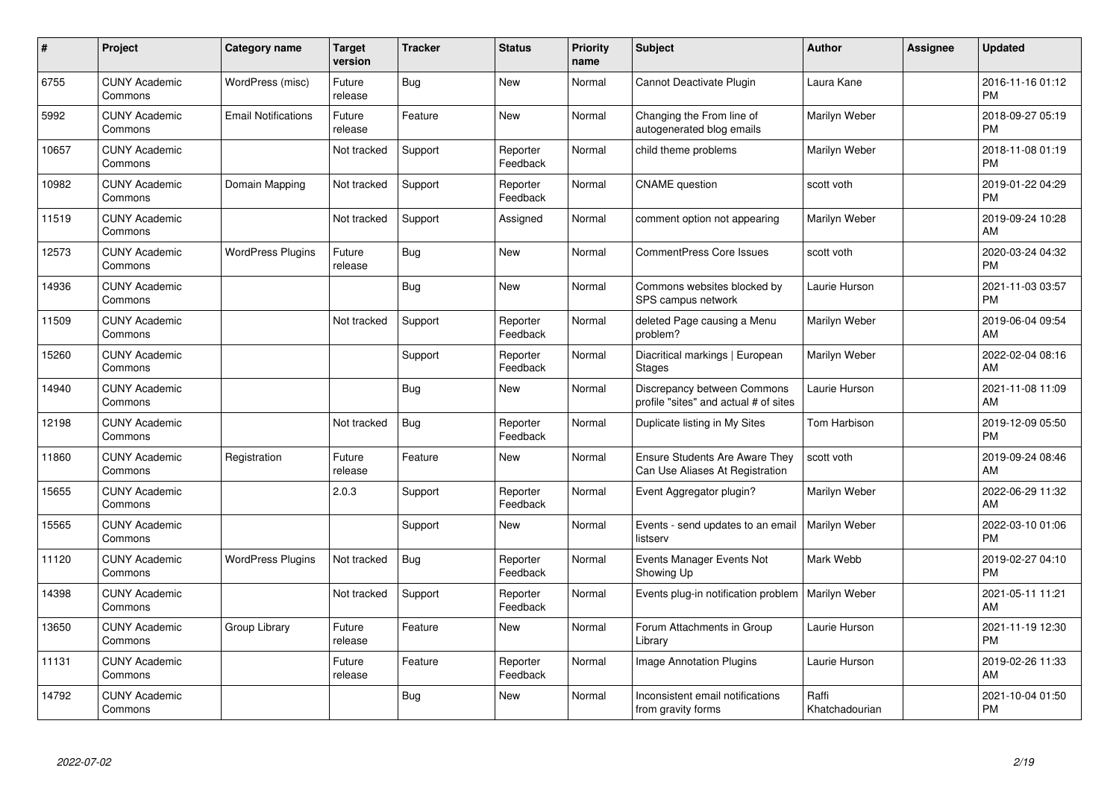| #     | Project                         | Category name              | <b>Target</b><br>version | <b>Tracker</b> | <b>Status</b>        | <b>Priority</b><br>name | <b>Subject</b>                                                           | <b>Author</b>           | <b>Assignee</b> | <b>Updated</b>                |
|-------|---------------------------------|----------------------------|--------------------------|----------------|----------------------|-------------------------|--------------------------------------------------------------------------|-------------------------|-----------------|-------------------------------|
| 6755  | <b>CUNY Academic</b><br>Commons | WordPress (misc)           | Future<br>release        | Bug            | <b>New</b>           | Normal                  | Cannot Deactivate Plugin                                                 | Laura Kane              |                 | 2016-11-16 01:12<br><b>PM</b> |
| 5992  | <b>CUNY Academic</b><br>Commons | <b>Email Notifications</b> | Future<br>release        | Feature        | <b>New</b>           | Normal                  | Changing the From line of<br>autogenerated blog emails                   | Marilyn Weber           |                 | 2018-09-27 05:19<br><b>PM</b> |
| 10657 | <b>CUNY Academic</b><br>Commons |                            | Not tracked              | Support        | Reporter<br>Feedback | Normal                  | child theme problems                                                     | Marilyn Weber           |                 | 2018-11-08 01:19<br><b>PM</b> |
| 10982 | <b>CUNY Academic</b><br>Commons | Domain Mapping             | Not tracked              | Support        | Reporter<br>Feedback | Normal                  | <b>CNAME</b> question                                                    | scott voth              |                 | 2019-01-22 04:29<br><b>PM</b> |
| 11519 | <b>CUNY Academic</b><br>Commons |                            | Not tracked              | Support        | Assigned             | Normal                  | comment option not appearing                                             | Marilyn Weber           |                 | 2019-09-24 10:28<br>AM        |
| 12573 | <b>CUNY Academic</b><br>Commons | <b>WordPress Plugins</b>   | Future<br>release        | <b>Bug</b>     | <b>New</b>           | Normal                  | <b>CommentPress Core Issues</b>                                          | scott voth              |                 | 2020-03-24 04:32<br><b>PM</b> |
| 14936 | <b>CUNY Academic</b><br>Commons |                            |                          | Bug            | <b>New</b>           | Normal                  | Commons websites blocked by<br>SPS campus network                        | Laurie Hurson           |                 | 2021-11-03 03:57<br><b>PM</b> |
| 11509 | <b>CUNY Academic</b><br>Commons |                            | Not tracked              | Support        | Reporter<br>Feedback | Normal                  | deleted Page causing a Menu<br>problem?                                  | Marilyn Weber           |                 | 2019-06-04 09:54<br>AM        |
| 15260 | <b>CUNY Academic</b><br>Commons |                            |                          | Support        | Reporter<br>Feedback | Normal                  | Diacritical markings   European<br><b>Stages</b>                         | Marilyn Weber           |                 | 2022-02-04 08:16<br>AM        |
| 14940 | <b>CUNY Academic</b><br>Commons |                            |                          | <b>Bug</b>     | <b>New</b>           | Normal                  | Discrepancy between Commons<br>profile "sites" and actual # of sites     | Laurie Hurson           |                 | 2021-11-08 11:09<br>AM        |
| 12198 | <b>CUNY Academic</b><br>Commons |                            | Not tracked              | Bug            | Reporter<br>Feedback | Normal                  | Duplicate listing in My Sites                                            | Tom Harbison            |                 | 2019-12-09 05:50<br><b>PM</b> |
| 11860 | <b>CUNY Academic</b><br>Commons | Registration               | Future<br>release        | Feature        | <b>New</b>           | Normal                  | <b>Ensure Students Are Aware They</b><br>Can Use Aliases At Registration | scott voth              |                 | 2019-09-24 08:46<br>AM        |
| 15655 | <b>CUNY Academic</b><br>Commons |                            | 2.0.3                    | Support        | Reporter<br>Feedback | Normal                  | Event Aggregator plugin?                                                 | Marilyn Weber           |                 | 2022-06-29 11:32<br>AM        |
| 15565 | <b>CUNY Academic</b><br>Commons |                            |                          | Support        | New                  | Normal                  | Events - send updates to an email<br>listserv                            | Marilyn Weber           |                 | 2022-03-10 01:06<br><b>PM</b> |
| 11120 | <b>CUNY Academic</b><br>Commons | <b>WordPress Plugins</b>   | Not tracked              | Bug            | Reporter<br>Feedback | Normal                  | Events Manager Events Not<br>Showing Up                                  | Mark Webb               |                 | 2019-02-27 04:10<br><b>PM</b> |
| 14398 | <b>CUNY Academic</b><br>Commons |                            | Not tracked              | Support        | Reporter<br>Feedback | Normal                  | Events plug-in notification problem                                      | Marilyn Weber           |                 | 2021-05-11 11:21<br>AM        |
| 13650 | <b>CUNY Academic</b><br>Commons | Group Library              | Future<br>release        | Feature        | New                  | Normal                  | Forum Attachments in Group<br>Library                                    | Laurie Hurson           |                 | 2021-11-19 12:30<br><b>PM</b> |
| 11131 | <b>CUNY Academic</b><br>Commons |                            | Future<br>release        | Feature        | Reporter<br>Feedback | Normal                  | Image Annotation Plugins                                                 | Laurie Hurson           |                 | 2019-02-26 11:33<br>AM        |
| 14792 | <b>CUNY Academic</b><br>Commons |                            |                          | <b>Bug</b>     | <b>New</b>           | Normal                  | Inconsistent email notifications<br>from gravity forms                   | Raffi<br>Khatchadourian |                 | 2021-10-04 01:50<br>PM        |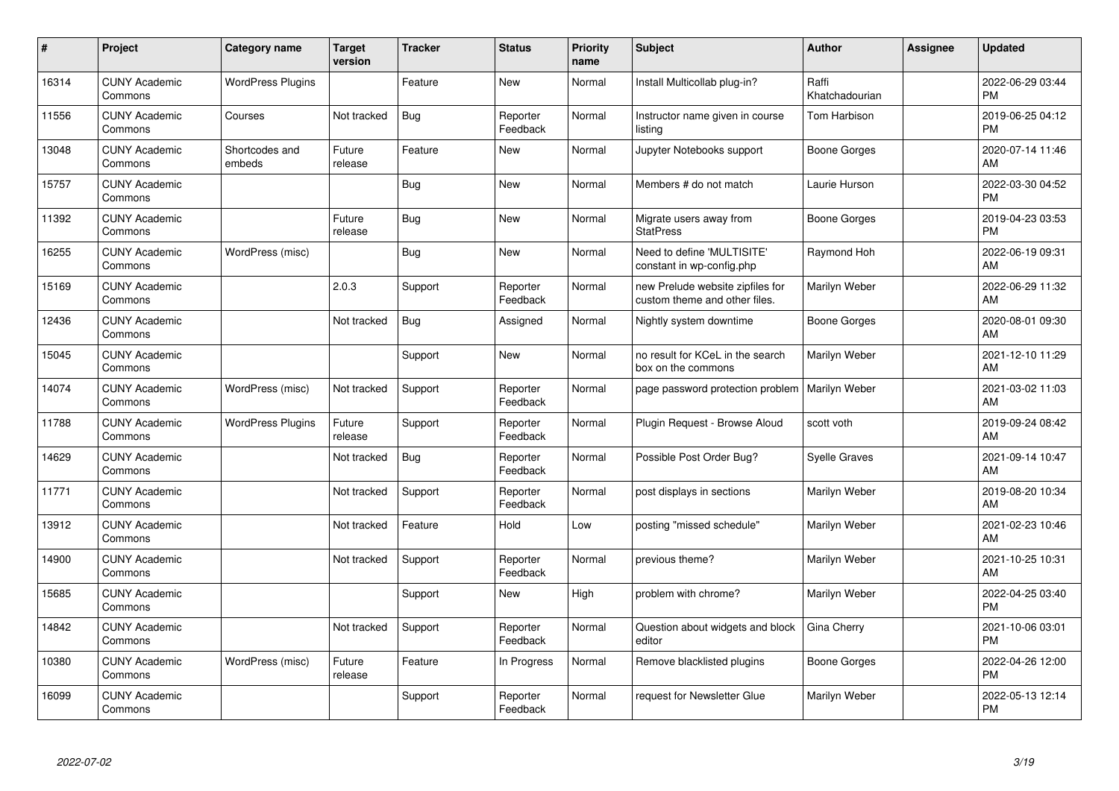| #     | Project                         | <b>Category name</b>     | <b>Target</b><br>version | <b>Tracker</b> | <b>Status</b>        | <b>Priority</b><br>name | <b>Subject</b>                                                    | <b>Author</b>           | <b>Assignee</b> | <b>Updated</b>                |
|-------|---------------------------------|--------------------------|--------------------------|----------------|----------------------|-------------------------|-------------------------------------------------------------------|-------------------------|-----------------|-------------------------------|
| 16314 | <b>CUNY Academic</b><br>Commons | <b>WordPress Plugins</b> |                          | Feature        | <b>New</b>           | Normal                  | Install Multicollab plug-in?                                      | Raffi<br>Khatchadourian |                 | 2022-06-29 03:44<br><b>PM</b> |
| 11556 | <b>CUNY Academic</b><br>Commons | Courses                  | Not tracked              | <b>Bug</b>     | Reporter<br>Feedback | Normal                  | Instructor name given in course<br>listing                        | Tom Harbison            |                 | 2019-06-25 04:12<br><b>PM</b> |
| 13048 | <b>CUNY Academic</b><br>Commons | Shortcodes and<br>embeds | Future<br>release        | Feature        | <b>New</b>           | Normal                  | Jupyter Notebooks support                                         | Boone Gorges            |                 | 2020-07-14 11:46<br>AM        |
| 15757 | <b>CUNY Academic</b><br>Commons |                          |                          | Bug            | <b>New</b>           | Normal                  | Members # do not match                                            | Laurie Hurson           |                 | 2022-03-30 04:52<br><b>PM</b> |
| 11392 | <b>CUNY Academic</b><br>Commons |                          | Future<br>release        | <b>Bug</b>     | <b>New</b>           | Normal                  | Migrate users away from<br><b>StatPress</b>                       | Boone Gorges            |                 | 2019-04-23 03:53<br><b>PM</b> |
| 16255 | <b>CUNY Academic</b><br>Commons | WordPress (misc)         |                          | Bug            | <b>New</b>           | Normal                  | Need to define 'MULTISITE'<br>constant in wp-config.php           | Raymond Hoh             |                 | 2022-06-19 09:31<br><b>AM</b> |
| 15169 | <b>CUNY Academic</b><br>Commons |                          | 2.0.3                    | Support        | Reporter<br>Feedback | Normal                  | new Prelude website zipfiles for<br>custom theme and other files. | Marilyn Weber           |                 | 2022-06-29 11:32<br>AM        |
| 12436 | <b>CUNY Academic</b><br>Commons |                          | Not tracked              | <b>Bug</b>     | Assigned             | Normal                  | Nightly system downtime                                           | Boone Gorges            |                 | 2020-08-01 09:30<br>AM        |
| 15045 | <b>CUNY Academic</b><br>Commons |                          |                          | Support        | New                  | Normal                  | no result for KCeL in the search<br>box on the commons            | Marilyn Weber           |                 | 2021-12-10 11:29<br>AM        |
| 14074 | <b>CUNY Academic</b><br>Commons | WordPress (misc)         | Not tracked              | Support        | Reporter<br>Feedback | Normal                  | page password protection problem                                  | Marilyn Weber           |                 | 2021-03-02 11:03<br>AM        |
| 11788 | <b>CUNY Academic</b><br>Commons | <b>WordPress Plugins</b> | Future<br>release        | Support        | Reporter<br>Feedback | Normal                  | Plugin Request - Browse Aloud                                     | scott voth              |                 | 2019-09-24 08:42<br>AM        |
| 14629 | <b>CUNY Academic</b><br>Commons |                          | Not tracked              | Bug            | Reporter<br>Feedback | Normal                  | Possible Post Order Bug?                                          | <b>Syelle Graves</b>    |                 | 2021-09-14 10:47<br>AM        |
| 11771 | <b>CUNY Academic</b><br>Commons |                          | Not tracked              | Support        | Reporter<br>Feedback | Normal                  | post displays in sections                                         | Marilyn Weber           |                 | 2019-08-20 10:34<br>AM        |
| 13912 | <b>CUNY Academic</b><br>Commons |                          | Not tracked              | Feature        | Hold                 | Low                     | posting "missed schedule"                                         | Marilyn Weber           |                 | 2021-02-23 10:46<br><b>AM</b> |
| 14900 | <b>CUNY Academic</b><br>Commons |                          | Not tracked              | Support        | Reporter<br>Feedback | Normal                  | previous theme?                                                   | Marilyn Weber           |                 | 2021-10-25 10:31<br><b>AM</b> |
| 15685 | <b>CUNY Academic</b><br>Commons |                          |                          | Support        | New                  | High                    | problem with chrome?                                              | Marilyn Weber           |                 | 2022-04-25 03:40<br><b>PM</b> |
| 14842 | <b>CUNY Academic</b><br>Commons |                          | Not tracked              | Support        | Reporter<br>Feedback | Normal                  | Question about widgets and block<br>editor                        | Gina Cherry             |                 | 2021-10-06 03:01<br><b>PM</b> |
| 10380 | <b>CUNY Academic</b><br>Commons | WordPress (misc)         | Future<br>release        | Feature        | In Progress          | Normal                  | Remove blacklisted plugins                                        | Boone Gorges            |                 | 2022-04-26 12:00<br><b>PM</b> |
| 16099 | <b>CUNY Academic</b><br>Commons |                          |                          | Support        | Reporter<br>Feedback | Normal                  | request for Newsletter Glue                                       | Marilyn Weber           |                 | 2022-05-13 12:14<br>PM        |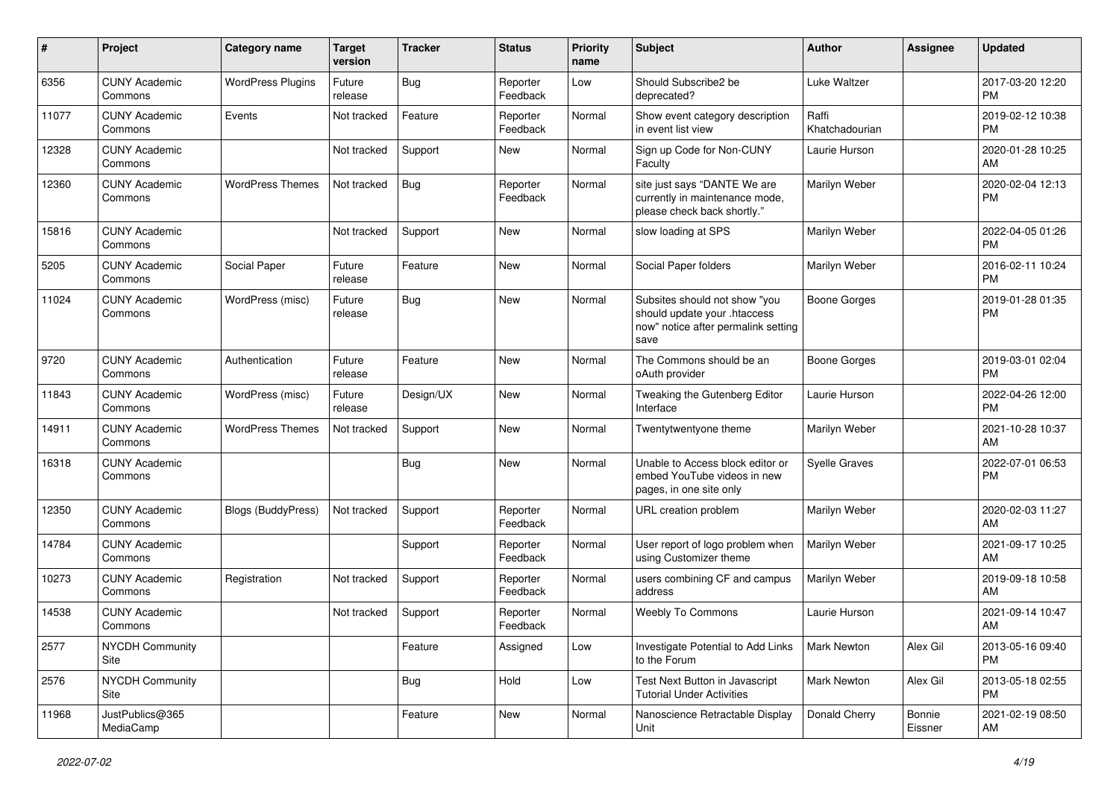| #     | Project                         | <b>Category name</b>     | <b>Target</b><br>version | <b>Tracker</b> | <b>Status</b>        | <b>Priority</b><br>name | Subject                                                                                                      | <b>Author</b>           | <b>Assignee</b>   | <b>Updated</b>                |
|-------|---------------------------------|--------------------------|--------------------------|----------------|----------------------|-------------------------|--------------------------------------------------------------------------------------------------------------|-------------------------|-------------------|-------------------------------|
| 6356  | <b>CUNY Academic</b><br>Commons | <b>WordPress Plugins</b> | Future<br>release        | <b>Bug</b>     | Reporter<br>Feedback | Low                     | Should Subscribe2 be<br>deprecated?                                                                          | Luke Waltzer            |                   | 2017-03-20 12:20<br><b>PM</b> |
| 11077 | <b>CUNY Academic</b><br>Commons | Events                   | Not tracked              | Feature        | Reporter<br>Feedback | Normal                  | Show event category description<br>in event list view                                                        | Raffi<br>Khatchadourian |                   | 2019-02-12 10:38<br><b>PM</b> |
| 12328 | <b>CUNY Academic</b><br>Commons |                          | Not tracked              | Support        | New                  | Normal                  | Sign up Code for Non-CUNY<br>Faculty                                                                         | Laurie Hurson           |                   | 2020-01-28 10:25<br>AM        |
| 12360 | <b>CUNY Academic</b><br>Commons | <b>WordPress Themes</b>  | Not tracked              | <b>Bug</b>     | Reporter<br>Feedback | Normal                  | site just says "DANTE We are<br>currently in maintenance mode,<br>please check back shortly."                | Marilyn Weber           |                   | 2020-02-04 12:13<br><b>PM</b> |
| 15816 | <b>CUNY Academic</b><br>Commons |                          | Not tracked              | Support        | <b>New</b>           | Normal                  | slow loading at SPS                                                                                          | Marilyn Weber           |                   | 2022-04-05 01:26<br><b>PM</b> |
| 5205  | <b>CUNY Academic</b><br>Commons | Social Paper             | Future<br>release        | Feature        | <b>New</b>           | Normal                  | Social Paper folders                                                                                         | Marilyn Weber           |                   | 2016-02-11 10:24<br><b>PM</b> |
| 11024 | <b>CUNY Academic</b><br>Commons | WordPress (misc)         | Future<br>release        | <b>Bug</b>     | <b>New</b>           | Normal                  | Subsites should not show "you<br>should update your .htaccess<br>now" notice after permalink setting<br>save | <b>Boone Gorges</b>     |                   | 2019-01-28 01:35<br><b>PM</b> |
| 9720  | <b>CUNY Academic</b><br>Commons | Authentication           | Future<br>release        | Feature        | <b>New</b>           | Normal                  | The Commons should be an<br>oAuth provider                                                                   | <b>Boone Gorges</b>     |                   | 2019-03-01 02:04<br><b>PM</b> |
| 11843 | <b>CUNY Academic</b><br>Commons | WordPress (misc)         | Future<br>release        | Design/UX      | New                  | Normal                  | Tweaking the Gutenberg Editor<br>Interface                                                                   | Laurie Hurson           |                   | 2022-04-26 12:00<br><b>PM</b> |
| 14911 | <b>CUNY Academic</b><br>Commons | <b>WordPress Themes</b>  | Not tracked              | Support        | <b>New</b>           | Normal                  | Twentytwentyone theme                                                                                        | Marilyn Weber           |                   | 2021-10-28 10:37<br>AM        |
| 16318 | <b>CUNY Academic</b><br>Commons |                          |                          | <b>Bug</b>     | <b>New</b>           | Normal                  | Unable to Access block editor or<br>embed YouTube videos in new<br>pages, in one site only                   | <b>Syelle Graves</b>    |                   | 2022-07-01 06:53<br><b>PM</b> |
| 12350 | <b>CUNY Academic</b><br>Commons | Blogs (BuddyPress)       | Not tracked              | Support        | Reporter<br>Feedback | Normal                  | URL creation problem                                                                                         | Marilyn Weber           |                   | 2020-02-03 11:27<br>AM        |
| 14784 | <b>CUNY Academic</b><br>Commons |                          |                          | Support        | Reporter<br>Feedback | Normal                  | User report of logo problem when<br>using Customizer theme                                                   | Marilyn Weber           |                   | 2021-09-17 10:25<br>AM        |
| 10273 | <b>CUNY Academic</b><br>Commons | Registration             | Not tracked              | Support        | Reporter<br>Feedback | Normal                  | users combining CF and campus<br>address                                                                     | Marilyn Weber           |                   | 2019-09-18 10:58<br>AM        |
| 14538 | <b>CUNY Academic</b><br>Commons |                          | Not tracked              | Support        | Reporter<br>Feedback | Normal                  | Weebly To Commons                                                                                            | Laurie Hurson           |                   | 2021-09-14 10:47<br>AM        |
| 2577  | <b>NYCDH Community</b><br>Site  |                          |                          | Feature        | Assigned             | Low                     | Investigate Potential to Add Links<br>to the Forum                                                           | <b>Mark Newton</b>      | Alex Gil          | 2013-05-16 09:40<br><b>PM</b> |
| 2576  | <b>NYCDH Community</b><br>Site  |                          |                          | <b>Bug</b>     | Hold                 | Low                     | Test Next Button in Javascript<br><b>Tutorial Under Activities</b>                                           | Mark Newton             | Alex Gil          | 2013-05-18 02:55<br><b>PM</b> |
| 11968 | JustPublics@365<br>MediaCamp    |                          |                          | Feature        | New                  | Normal                  | Nanoscience Retractable Display<br>Unit                                                                      | Donald Cherry           | Bonnie<br>Eissner | 2021-02-19 08:50<br>AM        |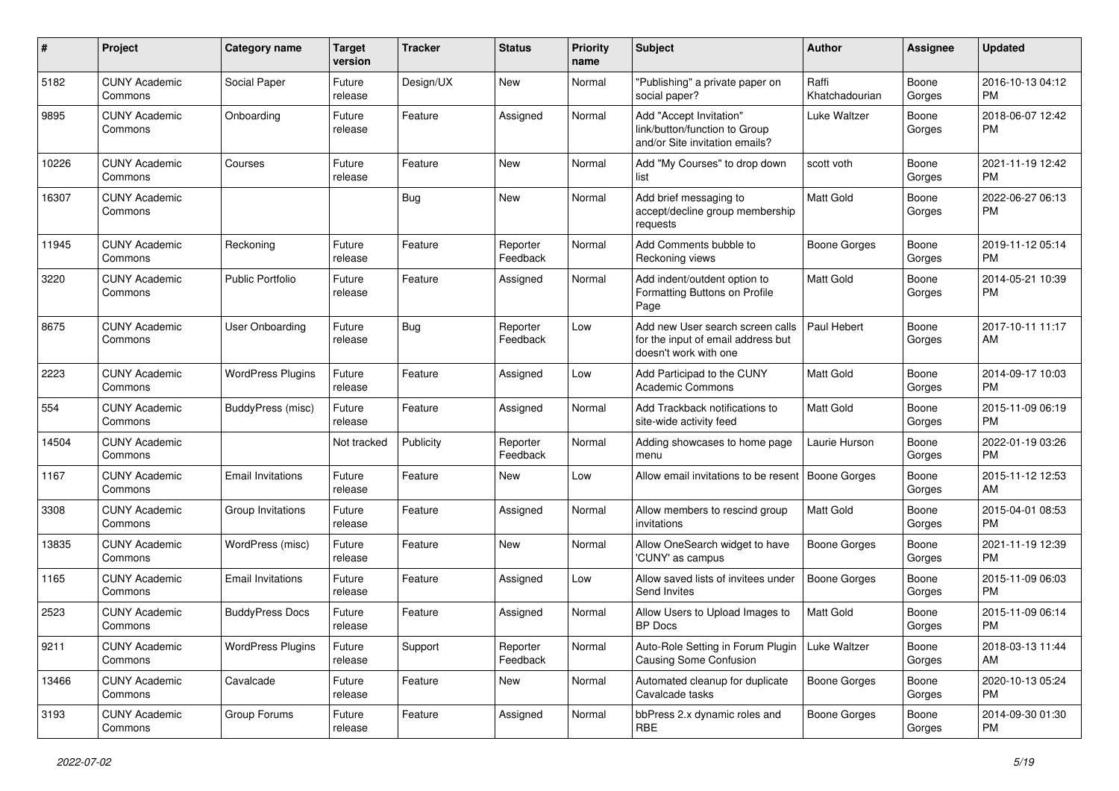| $\#$  | Project                         | <b>Category name</b>     | <b>Target</b><br>version | <b>Tracker</b> | <b>Status</b>        | Priority<br>name | Subject                                                                                         | Author                  | <b>Assignee</b> | <b>Updated</b>                |
|-------|---------------------------------|--------------------------|--------------------------|----------------|----------------------|------------------|-------------------------------------------------------------------------------------------------|-------------------------|-----------------|-------------------------------|
| 5182  | <b>CUNY Academic</b><br>Commons | Social Paper             | Future<br>release        | Design/UX      | <b>New</b>           | Normal           | "Publishing" a private paper on<br>social paper?                                                | Raffi<br>Khatchadourian | Boone<br>Gorges | 2016-10-13 04:12<br><b>PM</b> |
| 9895  | <b>CUNY Academic</b><br>Commons | Onboarding               | Future<br>release        | Feature        | Assigned             | Normal           | Add "Accept Invitation"<br>link/button/function to Group<br>and/or Site invitation emails?      | Luke Waltzer            | Boone<br>Gorges | 2018-06-07 12:42<br><b>PM</b> |
| 10226 | <b>CUNY Academic</b><br>Commons | Courses                  | Future<br>release        | Feature        | New                  | Normal           | Add "My Courses" to drop down<br>list                                                           | scott voth              | Boone<br>Gorges | 2021-11-19 12:42<br><b>PM</b> |
| 16307 | <b>CUNY Academic</b><br>Commons |                          |                          | Bug            | <b>New</b>           | Normal           | Add brief messaging to<br>accept/decline group membership<br>requests                           | Matt Gold               | Boone<br>Gorges | 2022-06-27 06:13<br><b>PM</b> |
| 11945 | <b>CUNY Academic</b><br>Commons | Reckoning                | Future<br>release        | Feature        | Reporter<br>Feedback | Normal           | Add Comments bubble to<br>Reckoning views                                                       | <b>Boone Gorges</b>     | Boone<br>Gorges | 2019-11-12 05:14<br><b>PM</b> |
| 3220  | <b>CUNY Academic</b><br>Commons | <b>Public Portfolio</b>  | Future<br>release        | Feature        | Assigned             | Normal           | Add indent/outdent option to<br>Formatting Buttons on Profile<br>Page                           | <b>Matt Gold</b>        | Boone<br>Gorges | 2014-05-21 10:39<br><b>PM</b> |
| 8675  | <b>CUNY Academic</b><br>Commons | User Onboarding          | Future<br>release        | Bug            | Reporter<br>Feedback | Low              | Add new User search screen calls<br>for the input of email address but<br>doesn't work with one | Paul Hebert             | Boone<br>Gorges | 2017-10-11 11:17<br>AM        |
| 2223  | <b>CUNY Academic</b><br>Commons | <b>WordPress Plugins</b> | Future<br>release        | Feature        | Assigned             | Low              | Add Participad to the CUNY<br>Academic Commons                                                  | <b>Matt Gold</b>        | Boone<br>Gorges | 2014-09-17 10:03<br><b>PM</b> |
| 554   | <b>CUNY Academic</b><br>Commons | <b>BuddyPress</b> (misc) | Future<br>release        | Feature        | Assigned             | Normal           | Add Trackback notifications to<br>site-wide activity feed                                       | <b>Matt Gold</b>        | Boone<br>Gorges | 2015-11-09 06:19<br><b>PM</b> |
| 14504 | <b>CUNY Academic</b><br>Commons |                          | Not tracked              | Publicity      | Reporter<br>Feedback | Normal           | Adding showcases to home page<br>menu                                                           | Laurie Hurson           | Boone<br>Gorges | 2022-01-19 03:26<br><b>PM</b> |
| 1167  | <b>CUNY Academic</b><br>Commons | <b>Email Invitations</b> | Future<br>release        | Feature        | <b>New</b>           | Low              | Allow email invitations to be resent                                                            | Boone Gorges            | Boone<br>Gorges | 2015-11-12 12:53<br>AM        |
| 3308  | <b>CUNY Academic</b><br>Commons | Group Invitations        | Future<br>release        | Feature        | Assigned             | Normal           | Allow members to rescind group<br>invitations                                                   | Matt Gold               | Boone<br>Gorges | 2015-04-01 08:53<br><b>PM</b> |
| 13835 | <b>CUNY Academic</b><br>Commons | WordPress (misc)         | Future<br>release        | Feature        | <b>New</b>           | Normal           | Allow OneSearch widget to have<br>'CUNY' as campus                                              | <b>Boone Gorges</b>     | Boone<br>Gorges | 2021-11-19 12:39<br><b>PM</b> |
| 1165  | <b>CUNY Academic</b><br>Commons | <b>Email Invitations</b> | Future<br>release        | Feature        | Assigned             | Low              | Allow saved lists of invitees under<br>Send Invites                                             | <b>Boone Gorges</b>     | Boone<br>Gorges | 2015-11-09 06:03<br><b>PM</b> |
| 2523  | <b>CUNY Academic</b><br>Commons | <b>BuddyPress Docs</b>   | Future<br>release        | Feature        | Assigned             | Normal           | Allow Users to Upload Images to<br><b>BP</b> Docs                                               | <b>Matt Gold</b>        | Boone<br>Gorges | 2015-11-09 06:14<br><b>PM</b> |
| 9211  | <b>CUNY Academic</b><br>Commons | <b>WordPress Plugins</b> | Future<br>release        | Support        | Reporter<br>Feedback | Normal           | Auto-Role Setting in Forum Plugin<br><b>Causing Some Confusion</b>                              | Luke Waltzer            | Boone<br>Gorges | 2018-03-13 11:44<br>AM        |
| 13466 | <b>CUNY Academic</b><br>Commons | Cavalcade                | Future<br>release        | Feature        | New                  | Normal           | Automated cleanup for duplicate<br>Cavalcade tasks                                              | <b>Boone Gorges</b>     | Boone<br>Gorges | 2020-10-13 05:24<br><b>PM</b> |
| 3193  | <b>CUNY Academic</b><br>Commons | Group Forums             | Future<br>release        | Feature        | Assigned             | Normal           | bbPress 2.x dynamic roles and<br>RBE                                                            | Boone Gorges            | Boone<br>Gorges | 2014-09-30 01:30<br>PM        |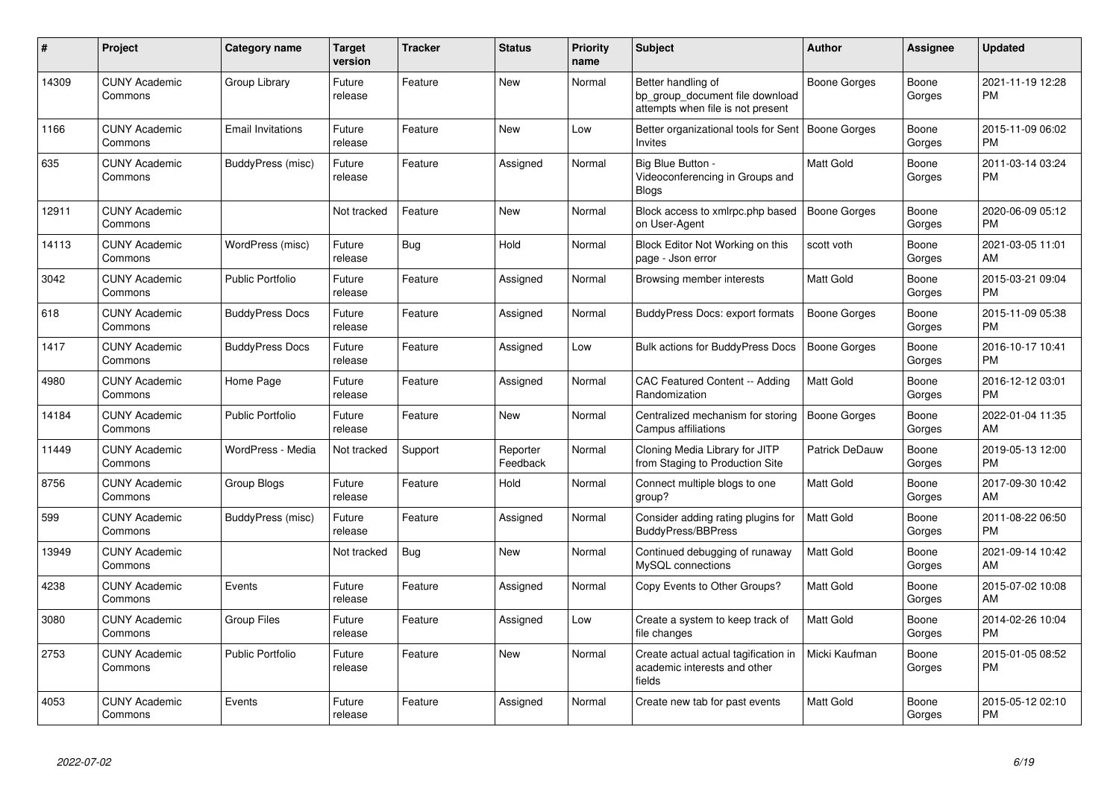| #     | <b>Project</b>                  | Category name            | Target<br>version | <b>Tracker</b> | <b>Status</b>        | <b>Priority</b><br>name | <b>Subject</b>                                                                             | <b>Author</b>       | Assignee        | <b>Updated</b>                |
|-------|---------------------------------|--------------------------|-------------------|----------------|----------------------|-------------------------|--------------------------------------------------------------------------------------------|---------------------|-----------------|-------------------------------|
| 14309 | <b>CUNY Academic</b><br>Commons | Group Library            | Future<br>release | Feature        | <b>New</b>           | Normal                  | Better handling of<br>bp_group_document file download<br>attempts when file is not present | Boone Gorges        | Boone<br>Gorges | 2021-11-19 12:28<br><b>PM</b> |
| 1166  | <b>CUNY Academic</b><br>Commons | <b>Email Invitations</b> | Future<br>release | Feature        | <b>New</b>           | Low                     | Better organizational tools for Sent<br><b>Invites</b>                                     | <b>Boone Gorges</b> | Boone<br>Gorges | 2015-11-09 06:02<br><b>PM</b> |
| 635   | <b>CUNY Academic</b><br>Commons | BuddyPress (misc)        | Future<br>release | Feature        | Assigned             | Normal                  | Big Blue Button -<br>Videoconferencing in Groups and<br><b>Blogs</b>                       | Matt Gold           | Boone<br>Gorges | 2011-03-14 03:24<br>PM.       |
| 12911 | <b>CUNY Academic</b><br>Commons |                          | Not tracked       | Feature        | <b>New</b>           | Normal                  | Block access to xmlrpc.php based<br>on User-Agent                                          | <b>Boone Gorges</b> | Boone<br>Gorges | 2020-06-09 05:12<br><b>PM</b> |
| 14113 | <b>CUNY Academic</b><br>Commons | WordPress (misc)         | Future<br>release | <b>Bug</b>     | Hold                 | Normal                  | Block Editor Not Working on this<br>page - Json error                                      | scott voth          | Boone<br>Gorges | 2021-03-05 11:01<br>AM        |
| 3042  | <b>CUNY Academic</b><br>Commons | <b>Public Portfolio</b>  | Future<br>release | Feature        | Assigned             | Normal                  | Browsing member interests                                                                  | Matt Gold           | Boone<br>Gorges | 2015-03-21 09:04<br><b>PM</b> |
| 618   | <b>CUNY Academic</b><br>Commons | <b>BuddyPress Docs</b>   | Future<br>release | Feature        | Assigned             | Normal                  | BuddyPress Docs: export formats                                                            | <b>Boone Gorges</b> | Boone<br>Gorges | 2015-11-09 05:38<br><b>PM</b> |
| 1417  | <b>CUNY Academic</b><br>Commons | <b>BuddyPress Docs</b>   | Future<br>release | Feature        | Assigned             | Low                     | <b>Bulk actions for BuddyPress Docs</b>                                                    | Boone Gorges        | Boone<br>Gorges | 2016-10-17 10:41<br><b>PM</b> |
| 4980  | <b>CUNY Academic</b><br>Commons | Home Page                | Future<br>release | Feature        | Assigned             | Normal                  | <b>CAC Featured Content -- Adding</b><br>Randomization                                     | Matt Gold           | Boone<br>Gorges | 2016-12-12 03:01<br><b>PM</b> |
| 14184 | <b>CUNY Academic</b><br>Commons | <b>Public Portfolio</b>  | Future<br>release | Feature        | <b>New</b>           | Normal                  | Centralized mechanism for storing<br>Campus affiliations                                   | Boone Gorges        | Boone<br>Gorges | 2022-01-04 11:35<br>AM        |
| 11449 | <b>CUNY Academic</b><br>Commons | WordPress - Media        | Not tracked       | Support        | Reporter<br>Feedback | Normal                  | Cloning Media Library for JITP<br>from Staging to Production Site                          | Patrick DeDauw      | Boone<br>Gorges | 2019-05-13 12:00<br><b>PM</b> |
| 8756  | <b>CUNY Academic</b><br>Commons | Group Blogs              | Future<br>release | Feature        | Hold                 | Normal                  | Connect multiple blogs to one<br>group?                                                    | <b>Matt Gold</b>    | Boone<br>Gorges | 2017-09-30 10:42<br>AM        |
| 599   | <b>CUNY Academic</b><br>Commons | BuddyPress (misc)        | Future<br>release | Feature        | Assigned             | Normal                  | Consider adding rating plugins for<br><b>BuddyPress/BBPress</b>                            | Matt Gold           | Boone<br>Gorges | 2011-08-22 06:50<br><b>PM</b> |
| 13949 | <b>CUNY Academic</b><br>Commons |                          | Not tracked       | Bug            | <b>New</b>           | Normal                  | Continued debugging of runaway<br>MySQL connections                                        | Matt Gold           | Boone<br>Gorges | 2021-09-14 10:42<br>AM.       |
| 4238  | <b>CUNY Academic</b><br>Commons | Events                   | Future<br>release | Feature        | Assigned             | Normal                  | Copy Events to Other Groups?                                                               | <b>Matt Gold</b>    | Boone<br>Gorges | 2015-07-02 10:08<br>AM.       |
| 3080  | <b>CUNY Academic</b><br>Commons | <b>Group Files</b>       | Future<br>release | Feature        | Assigned             | Low                     | Create a system to keep track of<br>file changes                                           | Matt Gold           | Boone<br>Gorges | 2014-02-26 10:04<br><b>PM</b> |
| 2753  | <b>CUNY Academic</b><br>Commons | <b>Public Portfolio</b>  | Future<br>release | Feature        | <b>New</b>           | Normal                  | Create actual actual tagification in<br>academic interests and other<br>fields             | Micki Kaufman       | Boone<br>Gorges | 2015-01-05 08:52<br>PM        |
| 4053  | <b>CUNY Academic</b><br>Commons | Events                   | Future<br>release | Feature        | Assigned             | Normal                  | Create new tab for past events                                                             | Matt Gold           | Boone<br>Gorges | 2015-05-12 02:10<br><b>PM</b> |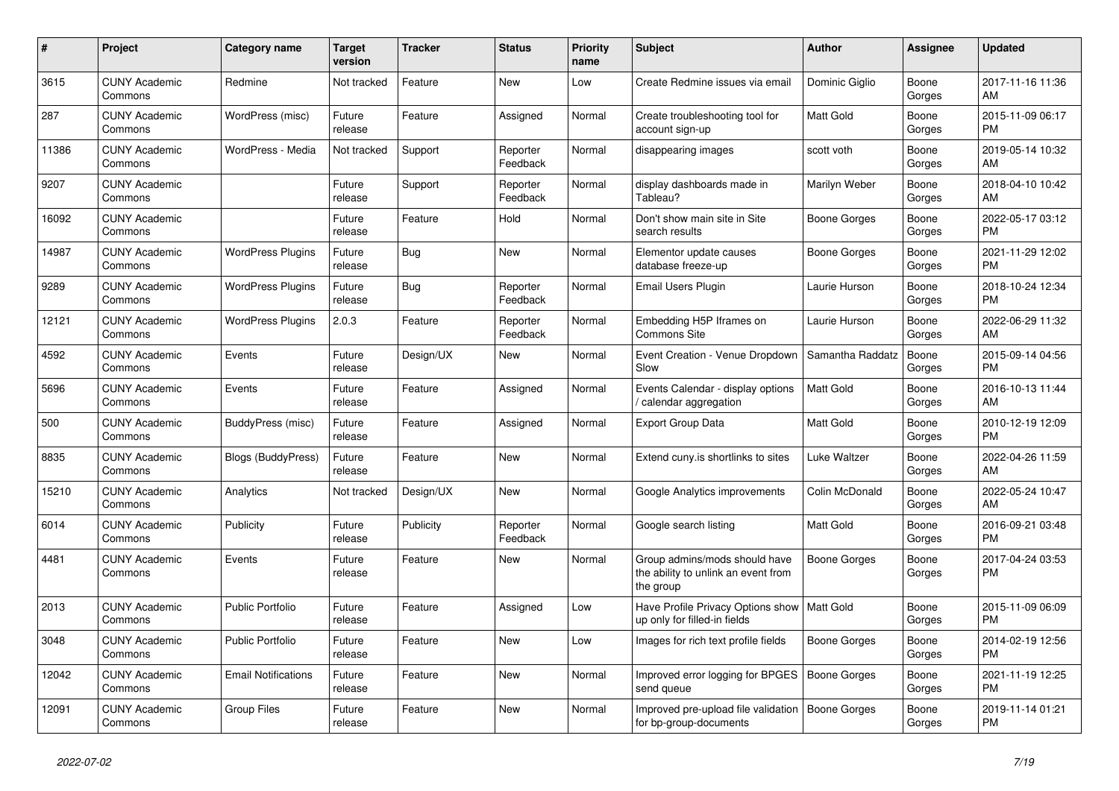| $\pmb{\#}$ | Project                         | <b>Category name</b>       | <b>Target</b><br>version | Tracker    | <b>Status</b>        | <b>Priority</b><br>name | <b>Subject</b>                                                                    | <b>Author</b>       | Assignee        | <b>Updated</b>                |
|------------|---------------------------------|----------------------------|--------------------------|------------|----------------------|-------------------------|-----------------------------------------------------------------------------------|---------------------|-----------------|-------------------------------|
| 3615       | <b>CUNY Academic</b><br>Commons | Redmine                    | Not tracked              | Feature    | New                  | Low                     | Create Redmine issues via email                                                   | Dominic Giglio      | Boone<br>Gorges | 2017-11-16 11:36<br>AM        |
| 287        | <b>CUNY Academic</b><br>Commons | WordPress (misc)           | Future<br>release        | Feature    | Assigned             | Normal                  | Create troubleshooting tool for<br>account sign-up                                | Matt Gold           | Boone<br>Gorges | 2015-11-09 06:17<br><b>PM</b> |
| 11386      | <b>CUNY Academic</b><br>Commons | WordPress - Media          | Not tracked              | Support    | Reporter<br>Feedback | Normal                  | disappearing images                                                               | scott voth          | Boone<br>Gorges | 2019-05-14 10:32<br>AM        |
| 9207       | <b>CUNY Academic</b><br>Commons |                            | Future<br>release        | Support    | Reporter<br>Feedback | Normal                  | display dashboards made in<br>Tableau?                                            | Marilyn Weber       | Boone<br>Gorges | 2018-04-10 10:42<br>AM        |
| 16092      | <b>CUNY Academic</b><br>Commons |                            | Future<br>release        | Feature    | Hold                 | Normal                  | Don't show main site in Site<br>search results                                    | Boone Gorges        | Boone<br>Gorges | 2022-05-17 03:12<br><b>PM</b> |
| 14987      | <b>CUNY Academic</b><br>Commons | <b>WordPress Plugins</b>   | Future<br>release        | Bug        | New                  | Normal                  | Elementor update causes<br>database freeze-up                                     | Boone Gorges        | Boone<br>Gorges | 2021-11-29 12:02<br><b>PM</b> |
| 9289       | <b>CUNY Academic</b><br>Commons | <b>WordPress Plugins</b>   | Future<br>release        | <b>Bug</b> | Reporter<br>Feedback | Normal                  | Email Users Plugin                                                                | Laurie Hurson       | Boone<br>Gorges | 2018-10-24 12:34<br><b>PM</b> |
| 12121      | <b>CUNY Academic</b><br>Commons | <b>WordPress Plugins</b>   | 2.0.3                    | Feature    | Reporter<br>Feedback | Normal                  | Embedding H5P Iframes on<br>Commons Site                                          | Laurie Hurson       | Boone<br>Gorges | 2022-06-29 11:32<br>AM        |
| 4592       | <b>CUNY Academic</b><br>Commons | Events                     | Future<br>release        | Design/UX  | New                  | Normal                  | Event Creation - Venue Dropdown<br>Slow                                           | Samantha Raddatz    | Boone<br>Gorges | 2015-09-14 04:56<br><b>PM</b> |
| 5696       | <b>CUNY Academic</b><br>Commons | Events                     | Future<br>release        | Feature    | Assigned             | Normal                  | Events Calendar - display options<br>calendar aggregation                         | <b>Matt Gold</b>    | Boone<br>Gorges | 2016-10-13 11:44<br>AM        |
| 500        | <b>CUNY Academic</b><br>Commons | BuddyPress (misc)          | Future<br>release        | Feature    | Assigned             | Normal                  | <b>Export Group Data</b>                                                          | Matt Gold           | Boone<br>Gorges | 2010-12-19 12:09<br><b>PM</b> |
| 8835       | <b>CUNY Academic</b><br>Commons | Blogs (BuddyPress)         | Future<br>release        | Feature    | New                  | Normal                  | Extend cuny is shortlinks to sites                                                | Luke Waltzer        | Boone<br>Gorges | 2022-04-26 11:59<br>AM        |
| 15210      | <b>CUNY Academic</b><br>Commons | Analytics                  | Not tracked              | Design/UX  | New                  | Normal                  | Google Analytics improvements                                                     | Colin McDonald      | Boone<br>Gorges | 2022-05-24 10:47<br>AM        |
| 6014       | <b>CUNY Academic</b><br>Commons | Publicity                  | Future<br>release        | Publicity  | Reporter<br>Feedback | Normal                  | Google search listing                                                             | <b>Matt Gold</b>    | Boone<br>Gorges | 2016-09-21 03:48<br><b>PM</b> |
| 4481       | <b>CUNY Academic</b><br>Commons | Events                     | Future<br>release        | Feature    | New                  | Normal                  | Group admins/mods should have<br>the ability to unlink an event from<br>the group | Boone Gorges        | Boone<br>Gorges | 2017-04-24 03:53<br>PM        |
| 2013       | <b>CUNY Academic</b><br>Commons | <b>Public Portfolio</b>    | Future<br>release        | Feature    | Assigned             | Low                     | Have Profile Privacy Options show   Matt Gold<br>up only for filled-in fields     |                     | Boone<br>Gorges | 2015-11-09 06:09<br><b>PM</b> |
| 3048       | <b>CUNY Academic</b><br>Commons | <b>Public Portfolio</b>    | Future<br>release        | Feature    | <b>New</b>           | Low                     | Images for rich text profile fields                                               | Boone Gorges        | Boone<br>Gorges | 2014-02-19 12:56<br><b>PM</b> |
| 12042      | <b>CUNY Academic</b><br>Commons | <b>Email Notifications</b> | Future<br>release        | Feature    | New                  | Normal                  | Improved error logging for BPGES<br>send queue                                    | Boone Gorges        | Boone<br>Gorges | 2021-11-19 12:25<br><b>PM</b> |
| 12091      | <b>CUNY Academic</b><br>Commons | <b>Group Files</b>         | Future<br>release        | Feature    | <b>New</b>           | Normal                  | Improved pre-upload file validation<br>for bp-group-documents                     | <b>Boone Gorges</b> | Boone<br>Gorges | 2019-11-14 01:21<br><b>PM</b> |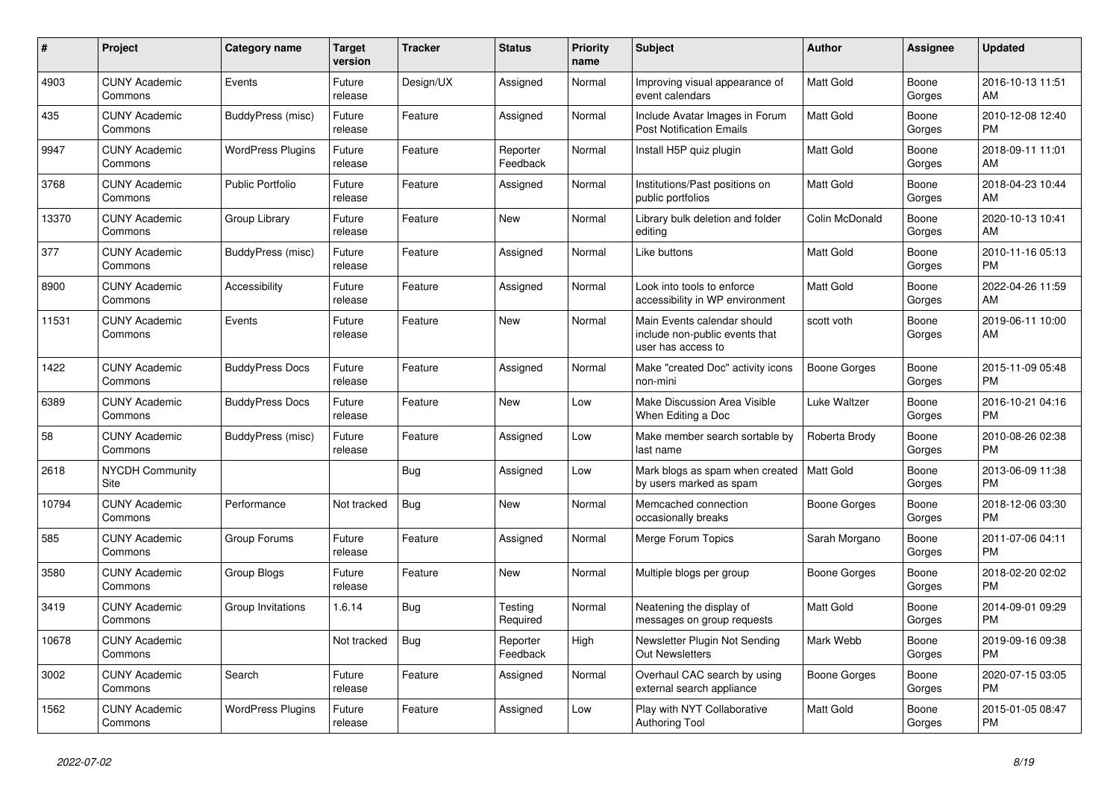| #     | <b>Project</b>                  | Category name            | Target<br>version | <b>Tracker</b> | <b>Status</b>        | <b>Priority</b><br>name | <b>Subject</b>                                                                      | <b>Author</b>  | Assignee        | <b>Updated</b>                |
|-------|---------------------------------|--------------------------|-------------------|----------------|----------------------|-------------------------|-------------------------------------------------------------------------------------|----------------|-----------------|-------------------------------|
| 4903  | <b>CUNY Academic</b><br>Commons | Events                   | Future<br>release | Design/UX      | Assigned             | Normal                  | Improving visual appearance of<br>event calendars                                   | Matt Gold      | Boone<br>Gorges | 2016-10-13 11:51<br>AM        |
| 435   | <b>CUNY Academic</b><br>Commons | BuddyPress (misc)        | Future<br>release | Feature        | Assigned             | Normal                  | Include Avatar Images in Forum<br><b>Post Notification Emails</b>                   | Matt Gold      | Boone<br>Gorges | 2010-12-08 12:40<br>PM.       |
| 9947  | <b>CUNY Academic</b><br>Commons | <b>WordPress Plugins</b> | Future<br>release | Feature        | Reporter<br>Feedback | Normal                  | Install H5P quiz plugin                                                             | Matt Gold      | Boone<br>Gorges | 2018-09-11 11:01<br>AM        |
| 3768  | <b>CUNY Academic</b><br>Commons | <b>Public Portfolio</b>  | Future<br>release | Feature        | Assigned             | Normal                  | Institutions/Past positions on<br>public portfolios                                 | Matt Gold      | Boone<br>Gorges | 2018-04-23 10:44<br>AM        |
| 13370 | <b>CUNY Academic</b><br>Commons | Group Library            | Future<br>release | Feature        | New                  | Normal                  | Library bulk deletion and folder<br>editing                                         | Colin McDonald | Boone<br>Gorges | 2020-10-13 10:41<br>AM.       |
| 377   | <b>CUNY Academic</b><br>Commons | BuddyPress (misc)        | Future<br>release | Feature        | Assigned             | Normal                  | Like buttons                                                                        | Matt Gold      | Boone<br>Gorges | 2010-11-16 05:13<br><b>PM</b> |
| 8900  | <b>CUNY Academic</b><br>Commons | Accessibility            | Future<br>release | Feature        | Assigned             | Normal                  | Look into tools to enforce<br>accessibility in WP environment                       | Matt Gold      | Boone<br>Gorges | 2022-04-26 11:59<br>AM        |
| 11531 | <b>CUNY Academic</b><br>Commons | Events                   | Future<br>release | Feature        | <b>New</b>           | Normal                  | Main Events calendar should<br>include non-public events that<br>user has access to | scott voth     | Boone<br>Gorges | 2019-06-11 10:00<br>AM        |
| 1422  | <b>CUNY Academic</b><br>Commons | <b>BuddyPress Docs</b>   | Future<br>release | Feature        | Assigned             | Normal                  | Make "created Doc" activity icons<br>non-mini                                       | Boone Gorges   | Boone<br>Gorges | 2015-11-09 05:48<br><b>PM</b> |
| 6389  | <b>CUNY Academic</b><br>Commons | <b>BuddyPress Docs</b>   | Future<br>release | Feature        | <b>New</b>           | Low                     | Make Discussion Area Visible<br>When Editing a Doc                                  | Luke Waltzer   | Boone<br>Gorges | 2016-10-21 04:16<br><b>PM</b> |
| 58    | <b>CUNY Academic</b><br>Commons | BuddyPress (misc)        | Future<br>release | Feature        | Assigned             | Low                     | Make member search sortable by<br>last name                                         | Roberta Brody  | Boone<br>Gorges | 2010-08-26 02:38<br><b>PM</b> |
| 2618  | <b>NYCDH Community</b><br>Site  |                          |                   | Bug            | Assigned             | Low                     | Mark blogs as spam when created<br>by users marked as spam                          | Matt Gold      | Boone<br>Gorges | 2013-06-09 11:38<br><b>PM</b> |
| 10794 | <b>CUNY Academic</b><br>Commons | Performance              | Not tracked       | Bug            | <b>New</b>           | Normal                  | Memcached connection<br>occasionally breaks                                         | Boone Gorges   | Boone<br>Gorges | 2018-12-06 03:30<br><b>PM</b> |
| 585   | <b>CUNY Academic</b><br>Commons | Group Forums             | Future<br>release | Feature        | Assigned             | Normal                  | Merge Forum Topics                                                                  | Sarah Morgano  | Boone<br>Gorges | 2011-07-06 04:11<br><b>PM</b> |
| 3580  | <b>CUNY Academic</b><br>Commons | Group Blogs              | Future<br>release | Feature        | New                  | Normal                  | Multiple blogs per group                                                            | Boone Gorges   | Boone<br>Gorges | 2018-02-20 02:02<br><b>PM</b> |
| 3419  | <b>CUNY Academic</b><br>Commons | Group Invitations        | 1.6.14            | Bug            | Testing<br>Required  | Normal                  | Neatening the display of<br>messages on group requests                              | Matt Gold      | Boone<br>Gorges | 2014-09-01 09:29<br><b>PM</b> |
| 10678 | <b>CUNY Academic</b><br>Commons |                          | Not tracked       | Bug            | Reporter<br>Feedback | High                    | Newsletter Plugin Not Sending<br><b>Out Newsletters</b>                             | Mark Webb      | Boone<br>Gorges | 2019-09-16 09:38<br><b>PM</b> |
| 3002  | <b>CUNY Academic</b><br>Commons | Search                   | Future<br>release | Feature        | Assigned             | Normal                  | Overhaul CAC search by using<br>external search appliance                           | Boone Gorges   | Boone<br>Gorges | 2020-07-15 03:05<br><b>PM</b> |
| 1562  | <b>CUNY Academic</b><br>Commons | <b>WordPress Plugins</b> | Future<br>release | Feature        | Assigned             | Low                     | Play with NYT Collaborative<br>Authoring Tool                                       | Matt Gold      | Boone<br>Gorges | 2015-01-05 08:47<br><b>PM</b> |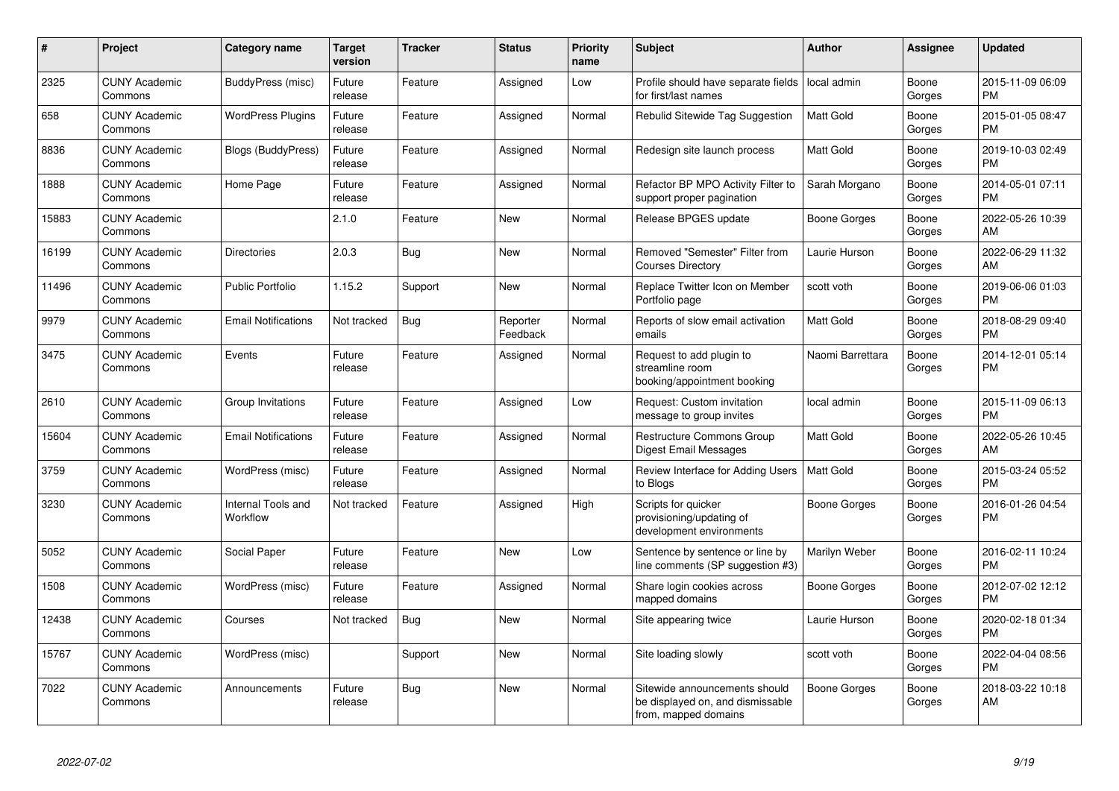| #     | Project                         | <b>Category name</b>           | <b>Target</b><br>version | <b>Tracker</b> | <b>Status</b>        | <b>Priority</b><br>name | <b>Subject</b>                                                                            | <b>Author</b>    | <b>Assignee</b> | <b>Updated</b>                |
|-------|---------------------------------|--------------------------------|--------------------------|----------------|----------------------|-------------------------|-------------------------------------------------------------------------------------------|------------------|-----------------|-------------------------------|
| 2325  | <b>CUNY Academic</b><br>Commons | BuddyPress (misc)              | Future<br>release        | Feature        | Assigned             | Low                     | Profile should have separate fields<br>for first/last names                               | local admin      | Boone<br>Gorges | 2015-11-09 06:09<br><b>PM</b> |
| 658   | <b>CUNY Academic</b><br>Commons | <b>WordPress Plugins</b>       | Future<br>release        | Feature        | Assigned             | Normal                  | Rebulid Sitewide Tag Suggestion                                                           | <b>Matt Gold</b> | Boone<br>Gorges | 2015-01-05 08:47<br><b>PM</b> |
| 8836  | <b>CUNY Academic</b><br>Commons | Blogs (BuddyPress)             | Future<br>release        | Feature        | Assigned             | Normal                  | Redesign site launch process                                                              | <b>Matt Gold</b> | Boone<br>Gorges | 2019-10-03 02:49<br><b>PM</b> |
| 1888  | <b>CUNY Academic</b><br>Commons | Home Page                      | Future<br>release        | Feature        | Assigned             | Normal                  | Refactor BP MPO Activity Filter to<br>support proper pagination                           | Sarah Morgano    | Boone<br>Gorges | 2014-05-01 07:11<br><b>PM</b> |
| 15883 | <b>CUNY Academic</b><br>Commons |                                | 2.1.0                    | Feature        | New                  | Normal                  | Release BPGES update                                                                      | Boone Gorges     | Boone<br>Gorges | 2022-05-26 10:39<br>AM        |
| 16199 | <b>CUNY Academic</b><br>Commons | Directories                    | 2.0.3                    | <b>Bug</b>     | <b>New</b>           | Normal                  | Removed "Semester" Filter from<br><b>Courses Directory</b>                                | Laurie Hurson    | Boone<br>Gorges | 2022-06-29 11:32<br>AM        |
| 11496 | <b>CUNY Academic</b><br>Commons | <b>Public Portfolio</b>        | 1.15.2                   | Support        | <b>New</b>           | Normal                  | Replace Twitter Icon on Member<br>Portfolio page                                          | scott voth       | Boone<br>Gorges | 2019-06-06 01:03<br><b>PM</b> |
| 9979  | <b>CUNY Academic</b><br>Commons | <b>Email Notifications</b>     | Not tracked              | Bug            | Reporter<br>Feedback | Normal                  | Reports of slow email activation<br>emails                                                | <b>Matt Gold</b> | Boone<br>Gorges | 2018-08-29 09:40<br><b>PM</b> |
| 3475  | <b>CUNY Academic</b><br>Commons | Events                         | Future<br>release        | Feature        | Assigned             | Normal                  | Request to add plugin to<br>streamline room<br>booking/appointment booking                | Naomi Barrettara | Boone<br>Gorges | 2014-12-01 05:14<br><b>PM</b> |
| 2610  | <b>CUNY Academic</b><br>Commons | Group Invitations              | Future<br>release        | Feature        | Assigned             | Low                     | Request: Custom invitation<br>message to group invites                                    | local admin      | Boone<br>Gorges | 2015-11-09 06:13<br><b>PM</b> |
| 15604 | <b>CUNY Academic</b><br>Commons | <b>Email Notifications</b>     | Future<br>release        | Feature        | Assigned             | Normal                  | Restructure Commons Group<br>Digest Email Messages                                        | Matt Gold        | Boone<br>Gorges | 2022-05-26 10:45<br>AM        |
| 3759  | <b>CUNY Academic</b><br>Commons | WordPress (misc)               | Future<br>release        | Feature        | Assigned             | Normal                  | Review Interface for Adding Users<br>to Blogs                                             | Matt Gold        | Boone<br>Gorges | 2015-03-24 05:52<br><b>PM</b> |
| 3230  | <b>CUNY Academic</b><br>Commons | Internal Tools and<br>Workflow | Not tracked              | Feature        | Assigned             | High                    | Scripts for quicker<br>provisioning/updating of<br>development environments               | Boone Gorges     | Boone<br>Gorges | 2016-01-26 04:54<br><b>PM</b> |
| 5052  | <b>CUNY Academic</b><br>Commons | Social Paper                   | Future<br>release        | Feature        | <b>New</b>           | Low                     | Sentence by sentence or line by<br>line comments (SP suggestion #3)                       | Marilyn Weber    | Boone<br>Gorges | 2016-02-11 10:24<br><b>PM</b> |
| 1508  | <b>CUNY Academic</b><br>Commons | WordPress (misc)               | Future<br>release        | Feature        | Assigned             | Normal                  | Share login cookies across<br>mapped domains                                              | Boone Gorges     | Boone<br>Gorges | 2012-07-02 12:12<br>PM        |
| 12438 | <b>CUNY Academic</b><br>Commons | Courses                        | Not tracked              | Bug            | New                  | Normal                  | Site appearing twice                                                                      | Laurie Hurson    | Boone<br>Gorges | 2020-02-18 01:34<br><b>PM</b> |
| 15767 | <b>CUNY Academic</b><br>Commons | WordPress (misc)               |                          | Support        | <b>New</b>           | Normal                  | Site loading slowly                                                                       | scott voth       | Boone<br>Gorges | 2022-04-04 08:56<br><b>PM</b> |
| 7022  | <b>CUNY Academic</b><br>Commons | Announcements                  | Future<br>release        | <b>Bug</b>     | <b>New</b>           | Normal                  | Sitewide announcements should<br>be displayed on, and dismissable<br>from, mapped domains | Boone Gorges     | Boone<br>Gorges | 2018-03-22 10:18<br>AM        |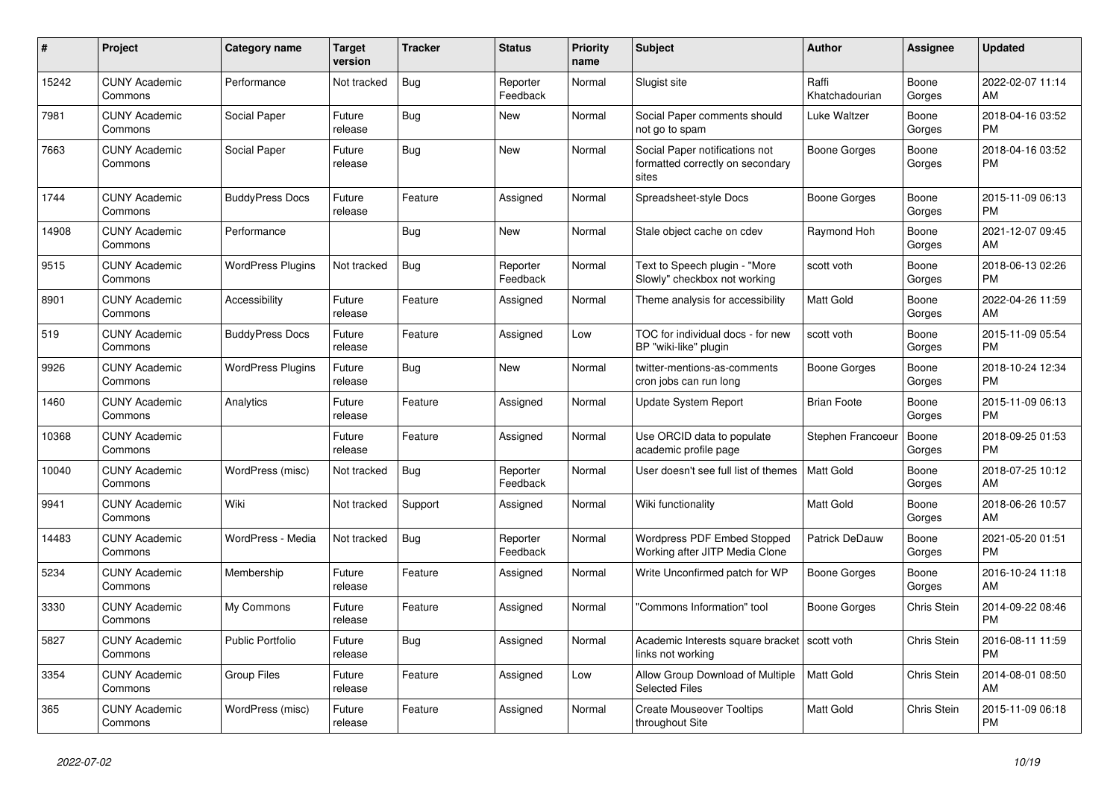| #     | Project                         | <b>Category name</b>     | Target<br>version | <b>Tracker</b> | <b>Status</b>        | Priority<br>name | <b>Subject</b>                                                              | <b>Author</b>           | <b>Assignee</b> | <b>Updated</b>                |
|-------|---------------------------------|--------------------------|-------------------|----------------|----------------------|------------------|-----------------------------------------------------------------------------|-------------------------|-----------------|-------------------------------|
| 15242 | <b>CUNY Academic</b><br>Commons | Performance              | Not tracked       | <b>Bug</b>     | Reporter<br>Feedback | Normal           | Slugist site                                                                | Raffi<br>Khatchadourian | Boone<br>Gorges | 2022-02-07 11:14<br>AM.       |
| 7981  | <b>CUNY Academic</b><br>Commons | Social Paper             | Future<br>release | Bug            | New                  | Normal           | Social Paper comments should<br>not go to spam                              | Luke Waltzer            | Boone<br>Gorges | 2018-04-16 03:52<br><b>PM</b> |
| 7663  | <b>CUNY Academic</b><br>Commons | Social Paper             | Future<br>release | <b>Bug</b>     | <b>New</b>           | Normal           | Social Paper notifications not<br>formatted correctly on secondary<br>sites | Boone Gorges            | Boone<br>Gorges | 2018-04-16 03:52<br><b>PM</b> |
| 1744  | <b>CUNY Academic</b><br>Commons | <b>BuddyPress Docs</b>   | Future<br>release | Feature        | Assigned             | Normal           | Spreadsheet-style Docs                                                      | Boone Gorges            | Boone<br>Gorges | 2015-11-09 06:13<br><b>PM</b> |
| 14908 | <b>CUNY Academic</b><br>Commons | Performance              |                   | Bug            | New                  | Normal           | Stale object cache on cdev                                                  | Raymond Hoh             | Boone<br>Gorges | 2021-12-07 09:45<br><b>AM</b> |
| 9515  | <b>CUNY Academic</b><br>Commons | <b>WordPress Plugins</b> | Not tracked       | Bug            | Reporter<br>Feedback | Normal           | Text to Speech plugin - "More<br>Slowly" checkbox not working               | scott voth              | Boone<br>Gorges | 2018-06-13 02:26<br><b>PM</b> |
| 8901  | <b>CUNY Academic</b><br>Commons | Accessibility            | Future<br>release | Feature        | Assigned             | Normal           | Theme analysis for accessibility                                            | Matt Gold               | Boone<br>Gorges | 2022-04-26 11:59<br>AM        |
| 519   | <b>CUNY Academic</b><br>Commons | <b>BuddyPress Docs</b>   | Future<br>release | Feature        | Assigned             | Low              | TOC for individual docs - for new<br>BP "wiki-like" plugin                  | scott voth              | Boone<br>Gorges | 2015-11-09 05:54<br><b>PM</b> |
| 9926  | <b>CUNY Academic</b><br>Commons | <b>WordPress Plugins</b> | Future<br>release | Bug            | New                  | Normal           | twitter-mentions-as-comments<br>cron jobs can run long                      | Boone Gorges            | Boone<br>Gorges | 2018-10-24 12:34<br><b>PM</b> |
| 1460  | <b>CUNY Academic</b><br>Commons | Analytics                | Future<br>release | Feature        | Assigned             | Normal           | <b>Update System Report</b>                                                 | <b>Brian Foote</b>      | Boone<br>Gorges | 2015-11-09 06:13<br><b>PM</b> |
| 10368 | <b>CUNY Academic</b><br>Commons |                          | Future<br>release | Feature        | Assigned             | Normal           | Use ORCID data to populate<br>academic profile page                         | Stephen Francoeur       | Boone<br>Gorges | 2018-09-25 01:53<br><b>PM</b> |
| 10040 | <b>CUNY Academic</b><br>Commons | WordPress (misc)         | Not tracked       | Bug            | Reporter<br>Feedback | Normal           | User doesn't see full list of themes                                        | <b>Matt Gold</b>        | Boone<br>Gorges | 2018-07-25 10:12<br>AM        |
| 9941  | <b>CUNY Academic</b><br>Commons | Wiki                     | Not tracked       | Support        | Assigned             | Normal           | Wiki functionality                                                          | Matt Gold               | Boone<br>Gorges | 2018-06-26 10:57<br>AM        |
| 14483 | <b>CUNY Academic</b><br>Commons | WordPress - Media        | Not tracked       | Bug            | Reporter<br>Feedback | Normal           | Wordpress PDF Embed Stopped<br>Working after JITP Media Clone               | Patrick DeDauw          | Boone<br>Gorges | 2021-05-20 01:51<br><b>PM</b> |
| 5234  | <b>CUNY Academic</b><br>Commons | Membership               | Future<br>release | Feature        | Assigned             | Normal           | Write Unconfirmed patch for WP                                              | Boone Gorges            | Boone<br>Gorges | 2016-10-24 11:18<br>AM        |
| 3330  | <b>CUNY Academic</b><br>Commons | My Commons               | Future<br>release | Feature        | Assigned             | Normal           | 'Commons Information" tool                                                  | Boone Gorges            | Chris Stein     | 2014-09-22 08:46<br><b>PM</b> |
| 5827  | <b>CUNY Academic</b><br>Commons | <b>Public Portfolio</b>  | Future<br>release | Bug            | Assigned             | Normal           | Academic Interests square bracket   scott voth<br>links not working         |                         | Chris Stein     | 2016-08-11 11:59<br><b>PM</b> |
| 3354  | <b>CUNY Academic</b><br>Commons | <b>Group Files</b>       | Future<br>release | Feature        | Assigned             | Low              | Allow Group Download of Multiple<br><b>Selected Files</b>                   | <b>Matt Gold</b>        | Chris Stein     | 2014-08-01 08:50<br>AM        |
| 365   | <b>CUNY Academic</b><br>Commons | WordPress (misc)         | Future<br>release | Feature        | Assigned             | Normal           | <b>Create Mouseover Tooltips</b><br>throughout Site                         | Matt Gold               | Chris Stein     | 2015-11-09 06:18<br><b>PM</b> |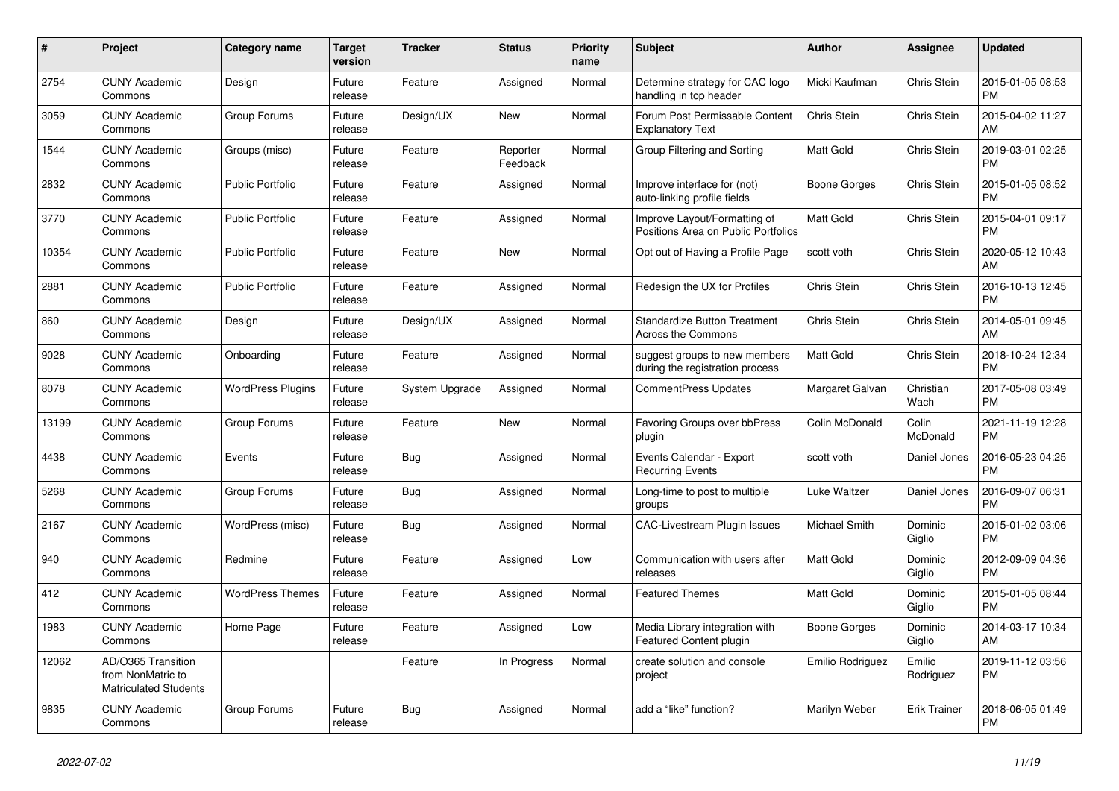| $\pmb{\#}$ | <b>Project</b>                                                          | <b>Category name</b>     | <b>Target</b><br>version | <b>Tracker</b> | <b>Status</b>        | <b>Priority</b><br>name | <b>Subject</b>                                                      | <b>Author</b>    | Assignee            | <b>Updated</b>                |
|------------|-------------------------------------------------------------------------|--------------------------|--------------------------|----------------|----------------------|-------------------------|---------------------------------------------------------------------|------------------|---------------------|-------------------------------|
| 2754       | <b>CUNY Academic</b><br>Commons                                         | Design                   | Future<br>release        | Feature        | Assigned             | Normal                  | Determine strategy for CAC logo<br>handling in top header           | Micki Kaufman    | Chris Stein         | 2015-01-05 08:53<br><b>PM</b> |
| 3059       | <b>CUNY Academic</b><br>Commons                                         | Group Forums             | Future<br>release        | Design/UX      | New                  | Normal                  | Forum Post Permissable Content<br><b>Explanatory Text</b>           | Chris Stein      | Chris Stein         | 2015-04-02 11:27<br>AM        |
| 1544       | <b>CUNY Academic</b><br>Commons                                         | Groups (misc)            | Future<br>release        | Feature        | Reporter<br>Feedback | Normal                  | Group Filtering and Sorting                                         | Matt Gold        | Chris Stein         | 2019-03-01 02:25<br><b>PM</b> |
| 2832       | <b>CUNY Academic</b><br>Commons                                         | <b>Public Portfolio</b>  | Future<br>release        | Feature        | Assigned             | Normal                  | Improve interface for (not)<br>auto-linking profile fields          | Boone Gorges     | Chris Stein         | 2015-01-05 08:52<br><b>PM</b> |
| 3770       | <b>CUNY Academic</b><br>Commons                                         | <b>Public Portfolio</b>  | Future<br>release        | Feature        | Assigned             | Normal                  | Improve Layout/Formatting of<br>Positions Area on Public Portfolios | Matt Gold        | Chris Stein         | 2015-04-01 09:17<br><b>PM</b> |
| 10354      | <b>CUNY Academic</b><br>Commons                                         | Public Portfolio         | Future<br>release        | Feature        | New                  | Normal                  | Opt out of Having a Profile Page                                    | scott voth       | Chris Stein         | 2020-05-12 10:43<br>AM        |
| 2881       | <b>CUNY Academic</b><br>Commons                                         | <b>Public Portfolio</b>  | Future<br>release        | Feature        | Assigned             | Normal                  | Redesign the UX for Profiles                                        | Chris Stein      | Chris Stein         | 2016-10-13 12:45<br><b>PM</b> |
| 860        | <b>CUNY Academic</b><br>Commons                                         | Design                   | Future<br>release        | Design/UX      | Assigned             | Normal                  | <b>Standardize Button Treatment</b><br><b>Across the Commons</b>    | Chris Stein      | Chris Stein         | 2014-05-01 09:45<br>AM        |
| 9028       | <b>CUNY Academic</b><br>Commons                                         | Onboarding               | Future<br>release        | Feature        | Assigned             | Normal                  | suggest groups to new members<br>during the registration process    | Matt Gold        | Chris Stein         | 2018-10-24 12:34<br><b>PM</b> |
| 8078       | <b>CUNY Academic</b><br>Commons                                         | <b>WordPress Plugins</b> | Future<br>release        | System Upgrade | Assigned             | Normal                  | <b>CommentPress Updates</b>                                         | Margaret Galvan  | Christian<br>Wach   | 2017-05-08 03:49<br><b>PM</b> |
| 13199      | <b>CUNY Academic</b><br>Commons                                         | Group Forums             | Future<br>release        | Feature        | New                  | Normal                  | Favoring Groups over bbPress<br>plugin                              | Colin McDonald   | Colin<br>McDonald   | 2021-11-19 12:28<br><b>PM</b> |
| 4438       | <b>CUNY Academic</b><br>Commons                                         | Events                   | Future<br>release        | Bug            | Assigned             | Normal                  | Events Calendar - Export<br><b>Recurring Events</b>                 | scott voth       | Daniel Jones        | 2016-05-23 04:25<br><b>PM</b> |
| 5268       | <b>CUNY Academic</b><br>Commons                                         | Group Forums             | Future<br>release        | <b>Bug</b>     | Assigned             | Normal                  | Long-time to post to multiple<br>groups                             | Luke Waltzer     | Daniel Jones        | 2016-09-07 06:31<br><b>PM</b> |
| 2167       | <b>CUNY Academic</b><br>Commons                                         | WordPress (misc)         | Future<br>release        | <b>Bug</b>     | Assigned             | Normal                  | <b>CAC-Livestream Plugin Issues</b>                                 | Michael Smith    | Dominic<br>Giglio   | 2015-01-02 03:06<br><b>PM</b> |
| 940        | <b>CUNY Academic</b><br>Commons                                         | Redmine                  | Future<br>release        | Feature        | Assigned             | Low                     | Communication with users after<br>releases                          | Matt Gold        | Dominic<br>Giglio   | 2012-09-09 04:36<br><b>PM</b> |
| 412        | <b>CUNY Academic</b><br>Commons                                         | <b>WordPress Themes</b>  | Future<br>release        | Feature        | Assigned             | Normal                  | <b>Featured Themes</b>                                              | Matt Gold        | Dominic<br>Giglio   | 2015-01-05 08:44<br><b>PM</b> |
| 1983       | <b>CUNY Academic</b><br>Commons                                         | Home Page                | Future<br>release        | Feature        | Assigned             | Low                     | Media Library integration with<br>Featured Content plugin           | Boone Gorges     | Dominic<br>Giglio   | 2014-03-17 10:34<br>AM        |
| 12062      | AD/O365 Transition<br>from NonMatric to<br><b>Matriculated Students</b> |                          |                          | Feature        | In Progress          | Normal                  | create solution and console<br>project                              | Emilio Rodriguez | Emilio<br>Rodriguez | 2019-11-12 03:56<br><b>PM</b> |
| 9835       | <b>CUNY Academic</b><br>Commons                                         | Group Forums             | Future<br>release        | Bug            | Assigned             | Normal                  | add a "like" function?                                              | Marilyn Weber    | <b>Erik Trainer</b> | 2018-06-05 01:49<br><b>PM</b> |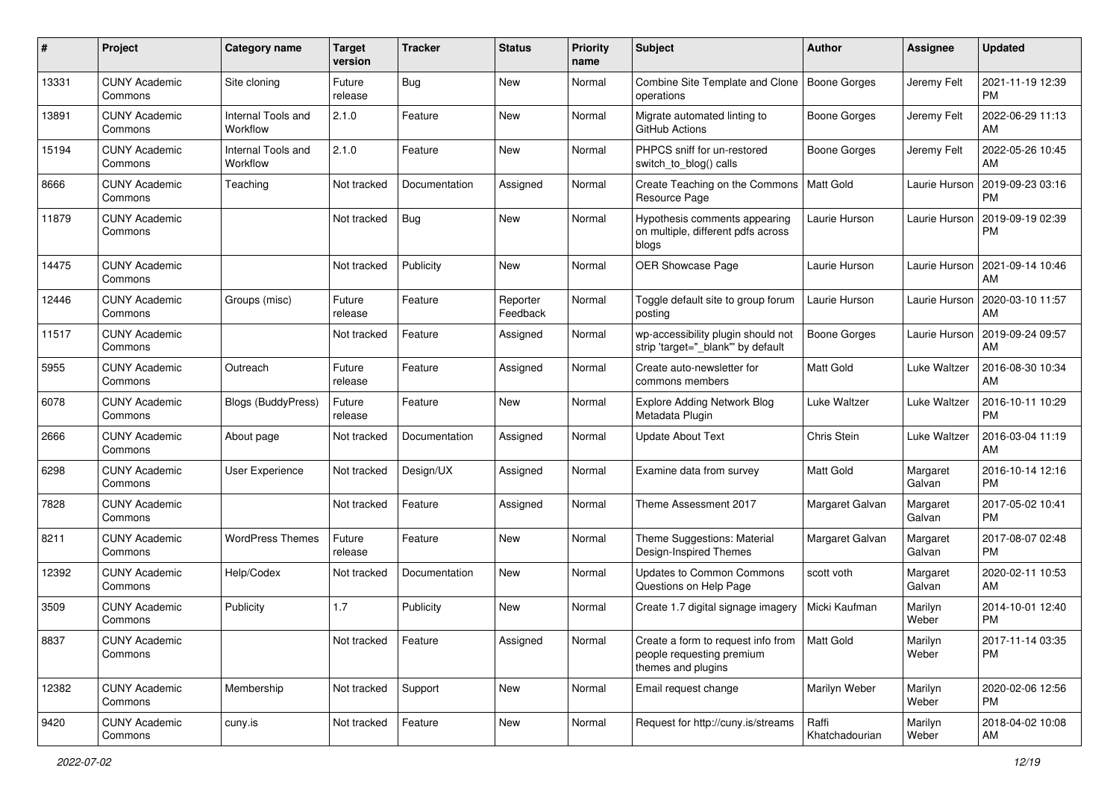| #     | Project                         | <b>Category name</b>           | <b>Target</b><br>version | <b>Tracker</b> | <b>Status</b>        | Priority<br>name | <b>Subject</b>                                                                        | Author                  | <b>Assignee</b>    | <b>Updated</b>                |
|-------|---------------------------------|--------------------------------|--------------------------|----------------|----------------------|------------------|---------------------------------------------------------------------------------------|-------------------------|--------------------|-------------------------------|
| 13331 | <b>CUNY Academic</b><br>Commons | Site cloning                   | Future<br>release        | <b>Bug</b>     | <b>New</b>           | Normal           | Combine Site Template and Clone<br>operations                                         | Boone Gorges            | Jeremy Felt        | 2021-11-19 12:39<br>PM.       |
| 13891 | <b>CUNY Academic</b><br>Commons | Internal Tools and<br>Workflow | 2.1.0                    | Feature        | New                  | Normal           | Migrate automated linting to<br>GitHub Actions                                        | <b>Boone Gorges</b>     | Jeremy Felt        | 2022-06-29 11:13<br>AM        |
| 15194 | <b>CUNY Academic</b><br>Commons | Internal Tools and<br>Workflow | 2.1.0                    | Feature        | New                  | Normal           | PHPCS sniff for un-restored<br>switch_to_blog() calls                                 | Boone Gorges            | Jeremy Felt        | 2022-05-26 10:45<br>AM.       |
| 8666  | <b>CUNY Academic</b><br>Commons | Teaching                       | Not tracked              | Documentation  | Assigned             | Normal           | Create Teaching on the Commons<br>Resource Page                                       | <b>Matt Gold</b>        | Laurie Hurson      | 2019-09-23 03:16<br><b>PM</b> |
| 11879 | <b>CUNY Academic</b><br>Commons |                                | Not tracked              | Bug            | New                  | Normal           | Hypothesis comments appearing<br>on multiple, different pdfs across<br>blogs          | Laurie Hurson           | Laurie Hurson      | 2019-09-19 02:39<br><b>PM</b> |
| 14475 | <b>CUNY Academic</b><br>Commons |                                | Not tracked              | Publicity      | New                  | Normal           | OER Showcase Page                                                                     | Laurie Hurson           | Laurie Hurson      | 2021-09-14 10:46<br>AM        |
| 12446 | <b>CUNY Academic</b><br>Commons | Groups (misc)                  | Future<br>release        | Feature        | Reporter<br>Feedback | Normal           | Toggle default site to group forum<br>posting                                         | Laurie Hurson           | Laurie Hurson      | 2020-03-10 11:57<br>AM        |
| 11517 | <b>CUNY Academic</b><br>Commons |                                | Not tracked              | Feature        | Assigned             | Normal           | wp-accessibility plugin should not<br>strip 'target="_blank" by default               | Boone Gorges            | Laurie Hurson      | 2019-09-24 09:57<br>AM        |
| 5955  | <b>CUNY Academic</b><br>Commons | Outreach                       | Future<br>release        | Feature        | Assigned             | Normal           | Create auto-newsletter for<br>commons members                                         | <b>Matt Gold</b>        | Luke Waltzer       | 2016-08-30 10:34<br>AM.       |
| 6078  | <b>CUNY Academic</b><br>Commons | <b>Blogs (BuddyPress)</b>      | Future<br>release        | Feature        | New                  | Normal           | <b>Explore Adding Network Blog</b><br>Metadata Plugin                                 | Luke Waltzer            | Luke Waltzer       | 2016-10-11 10:29<br><b>PM</b> |
| 2666  | <b>CUNY Academic</b><br>Commons | About page                     | Not tracked              | Documentation  | Assigned             | Normal           | <b>Update About Text</b>                                                              | Chris Stein             | Luke Waltzer       | 2016-03-04 11:19<br>AM        |
| 6298  | <b>CUNY Academic</b><br>Commons | User Experience                | Not tracked              | Design/UX      | Assigned             | Normal           | Examine data from survey                                                              | Matt Gold               | Margaret<br>Galvan | 2016-10-14 12:16<br>PM.       |
| 7828  | <b>CUNY Academic</b><br>Commons |                                | Not tracked              | Feature        | Assigned             | Normal           | Theme Assessment 2017                                                                 | Margaret Galvan         | Margaret<br>Galvan | 2017-05-02 10:41<br><b>PM</b> |
| 8211  | <b>CUNY Academic</b><br>Commons | <b>WordPress Themes</b>        | Future<br>release        | Feature        | New                  | Normal           | Theme Suggestions: Material<br>Design-Inspired Themes                                 | Margaret Galvan         | Margaret<br>Galvan | 2017-08-07 02:48<br><b>PM</b> |
| 12392 | <b>CUNY Academic</b><br>Commons | Help/Codex                     | Not tracked              | Documentation  | New                  | Normal           | Updates to Common Commons<br>Questions on Help Page                                   | scott voth              | Margaret<br>Galvan | 2020-02-11 10:53<br>AM.       |
| 3509  | <b>CUNY Academic</b><br>Commons | Publicity                      | 1.7                      | Publicity      | New                  | Normal           | Create 1.7 digital signage imagery                                                    | Micki Kaufman           | Marilyn<br>Weber   | 2014-10-01 12:40<br><b>PM</b> |
| 8837  | <b>CUNY Academic</b><br>Commons |                                | Not tracked              | Feature        | Assigned             | Normal           | Create a form to request info from<br>people requesting premium<br>themes and plugins | Matt Gold               | Marilyn<br>Weber   | 2017-11-14 03:35<br>PM        |
| 12382 | <b>CUNY Academic</b><br>Commons | Membership                     | Not tracked              | Support        | New                  | Normal           | Email request change                                                                  | Marilyn Weber           | Marilyn<br>Weber   | 2020-02-06 12:56<br><b>PM</b> |
| 9420  | <b>CUNY Academic</b><br>Commons | cuny.is                        | Not tracked              | Feature        | New                  | Normal           | Request for http://cuny.is/streams                                                    | Raffi<br>Khatchadourian | Marilyn<br>Weber   | 2018-04-02 10:08<br>AM        |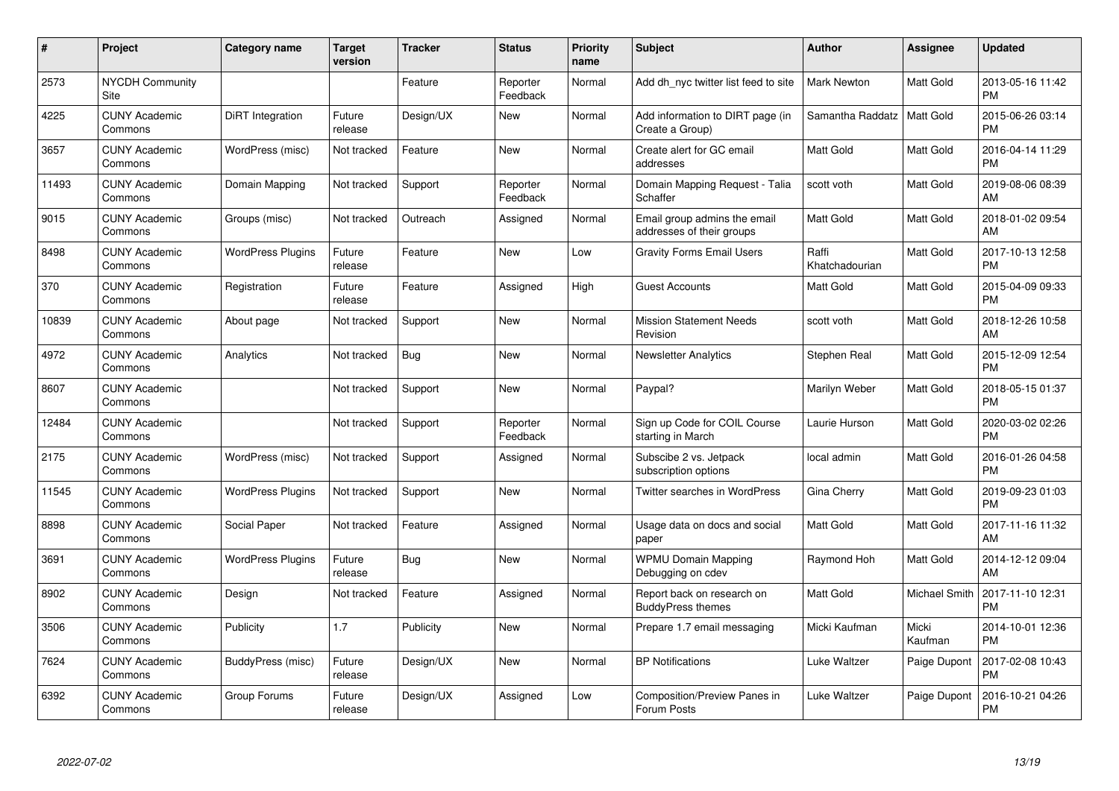| #     | Project                         | Category name            | <b>Target</b><br>version | <b>Tracker</b> | <b>Status</b>        | Priority<br>name | <b>Subject</b>                                            | <b>Author</b>           | <b>Assignee</b>  | <b>Updated</b>                |
|-------|---------------------------------|--------------------------|--------------------------|----------------|----------------------|------------------|-----------------------------------------------------------|-------------------------|------------------|-------------------------------|
| 2573  | <b>NYCDH Community</b><br>Site  |                          |                          | Feature        | Reporter<br>Feedback | Normal           | Add dh nyc twitter list feed to site                      | <b>Mark Newton</b>      | Matt Gold        | 2013-05-16 11:42<br><b>PM</b> |
| 4225  | <b>CUNY Academic</b><br>Commons | <b>DiRT</b> Integration  | Future<br>release        | Design/UX      | <b>New</b>           | Normal           | Add information to DIRT page (in<br>Create a Group)       | Samantha Raddatz        | <b>Matt Gold</b> | 2015-06-26 03:14<br><b>PM</b> |
| 3657  | <b>CUNY Academic</b><br>Commons | WordPress (misc)         | Not tracked              | Feature        | <b>New</b>           | Normal           | Create alert for GC email<br>addresses                    | <b>Matt Gold</b>        | Matt Gold        | 2016-04-14 11:29<br><b>PM</b> |
| 11493 | <b>CUNY Academic</b><br>Commons | Domain Mapping           | Not tracked              | Support        | Reporter<br>Feedback | Normal           | Domain Mapping Request - Talia<br>Schaffer                | scott voth              | Matt Gold        | 2019-08-06 08:39<br>AM        |
| 9015  | <b>CUNY Academic</b><br>Commons | Groups (misc)            | Not tracked              | Outreach       | Assigned             | Normal           | Email group admins the email<br>addresses of their groups | <b>Matt Gold</b>        | Matt Gold        | 2018-01-02 09:54<br>AM        |
| 8498  | <b>CUNY Academic</b><br>Commons | <b>WordPress Plugins</b> | Future<br>release        | Feature        | <b>New</b>           | Low              | <b>Gravity Forms Email Users</b>                          | Raffi<br>Khatchadourian | Matt Gold        | 2017-10-13 12:58<br><b>PM</b> |
| 370   | <b>CUNY Academic</b><br>Commons | Registration             | Future<br>release        | Feature        | Assigned             | High             | <b>Guest Accounts</b>                                     | <b>Matt Gold</b>        | Matt Gold        | 2015-04-09 09:33<br><b>PM</b> |
| 10839 | <b>CUNY Academic</b><br>Commons | About page               | Not tracked              | Support        | <b>New</b>           | Normal           | <b>Mission Statement Needs</b><br>Revision                | scott voth              | Matt Gold        | 2018-12-26 10:58<br>AM        |
| 4972  | <b>CUNY Academic</b><br>Commons | Analytics                | Not tracked              | Bug            | New                  | Normal           | <b>Newsletter Analytics</b>                               | Stephen Real            | Matt Gold        | 2015-12-09 12:54<br><b>PM</b> |
| 8607  | <b>CUNY Academic</b><br>Commons |                          | Not tracked              | Support        | New                  | Normal           | Paypal?                                                   | Marilyn Weber           | Matt Gold        | 2018-05-15 01:37<br><b>PM</b> |
| 12484 | <b>CUNY Academic</b><br>Commons |                          | Not tracked              | Support        | Reporter<br>Feedback | Normal           | Sign up Code for COIL Course<br>starting in March         | Laurie Hurson           | Matt Gold        | 2020-03-02 02:26<br><b>PM</b> |
| 2175  | <b>CUNY Academic</b><br>Commons | WordPress (misc)         | Not tracked              | Support        | Assigned             | Normal           | Subscibe 2 vs. Jetpack<br>subscription options            | local admin             | Matt Gold        | 2016-01-26 04:58<br><b>PM</b> |
| 11545 | <b>CUNY Academic</b><br>Commons | <b>WordPress Plugins</b> | Not tracked              | Support        | New                  | Normal           | Twitter searches in WordPress                             | Gina Cherry             | Matt Gold        | 2019-09-23 01:03<br><b>PM</b> |
| 8898  | <b>CUNY Academic</b><br>Commons | Social Paper             | Not tracked              | Feature        | Assigned             | Normal           | Usage data on docs and social<br>paper                    | <b>Matt Gold</b>        | Matt Gold        | 2017-11-16 11:32<br>AM        |
| 3691  | <b>CUNY Academic</b><br>Commons | <b>WordPress Plugins</b> | Future<br>release        | Bug            | New                  | Normal           | <b>WPMU Domain Mapping</b><br>Debugging on cdev           | Raymond Hoh             | Matt Gold        | 2014-12-12 09:04<br>AM        |
| 8902  | <b>CUNY Academic</b><br>Commons | Design                   | Not tracked              | Feature        | Assigned             | Normal           | Report back on research on<br><b>BuddyPress themes</b>    | Matt Gold               | Michael Smith    | 2017-11-10 12:31<br><b>PM</b> |
| 3506  | <b>CUNY Academic</b><br>Commons | Publicity                | 1.7                      | Publicity      | New                  | Normal           | Prepare 1.7 email messaging                               | Micki Kaufman           | Micki<br>Kaufman | 2014-10-01 12:36<br><b>PM</b> |
| 7624  | <b>CUNY Academic</b><br>Commons | BuddyPress (misc)        | Future<br>release        | Design/UX      | <b>New</b>           | Normal           | <b>BP</b> Notifications                                   | Luke Waltzer            | Paige Dupont     | 2017-02-08 10:43<br><b>PM</b> |
| 6392  | <b>CUNY Academic</b><br>Commons | Group Forums             | Future<br>release        | Design/UX      | Assigned             | Low              | <b>Composition/Preview Panes in</b><br>Forum Posts        | Luke Waltzer            | Paige Dupont     | 2016-10-21 04:26<br><b>PM</b> |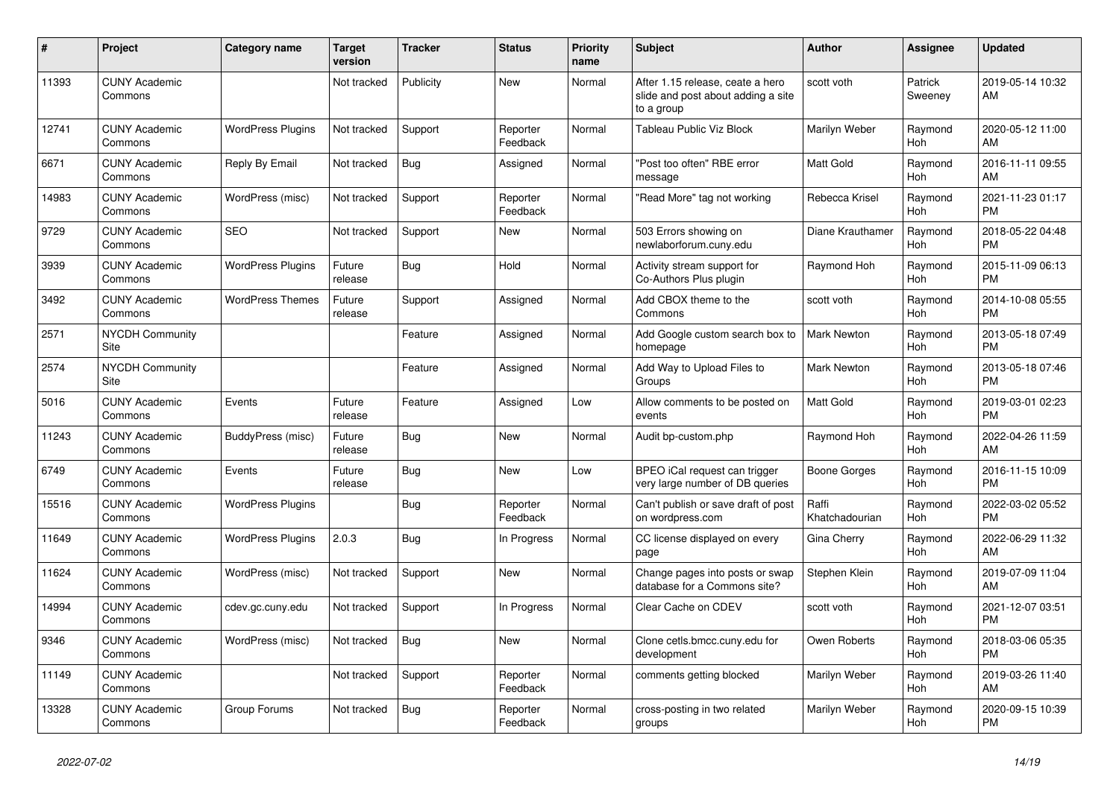| #     | Project                               | <b>Category name</b>     | <b>Target</b><br>version | <b>Tracker</b> | <b>Status</b>        | <b>Priority</b><br>name | <b>Subject</b>                                                                       | <b>Author</b>           | <b>Assignee</b>    | <b>Updated</b>                |
|-------|---------------------------------------|--------------------------|--------------------------|----------------|----------------------|-------------------------|--------------------------------------------------------------------------------------|-------------------------|--------------------|-------------------------------|
| 11393 | <b>CUNY Academic</b><br>Commons       |                          | Not tracked              | Publicity      | New                  | Normal                  | After 1.15 release, ceate a hero<br>slide and post about adding a site<br>to a group | scott voth              | Patrick<br>Sweeney | 2019-05-14 10:32<br>AM        |
| 12741 | <b>CUNY Academic</b><br>Commons       | <b>WordPress Plugins</b> | Not tracked              | Support        | Reporter<br>Feedback | Normal                  | Tableau Public Viz Block                                                             | Marilyn Weber           | Raymond<br>Hoh     | 2020-05-12 11:00<br>AM        |
| 6671  | <b>CUNY Academic</b><br>Commons       | Reply By Email           | Not tracked              | Bug            | Assigned             | Normal                  | "Post too often" RBE error<br>message                                                | <b>Matt Gold</b>        | Raymond<br>Hoh     | 2016-11-11 09:55<br>AM        |
| 14983 | <b>CUNY Academic</b><br>Commons       | WordPress (misc)         | Not tracked              | Support        | Reporter<br>Feedback | Normal                  | "Read More" tag not working                                                          | Rebecca Krisel          | Raymond<br>Hoh     | 2021-11-23 01:17<br><b>PM</b> |
| 9729  | <b>CUNY Academic</b><br>Commons       | <b>SEO</b>               | Not tracked              | Support        | New                  | Normal                  | 503 Errors showing on<br>newlaborforum.cuny.edu                                      | Diane Krauthamer        | Raymond<br>Hoh     | 2018-05-22 04:48<br><b>PM</b> |
| 3939  | <b>CUNY Academic</b><br>Commons       | <b>WordPress Plugins</b> | Future<br>release        | Bug            | Hold                 | Normal                  | Activity stream support for<br>Co-Authors Plus plugin                                | Raymond Hoh             | Raymond<br>Hoh     | 2015-11-09 06:13<br><b>PM</b> |
| 3492  | <b>CUNY Academic</b><br>Commons       | <b>WordPress Themes</b>  | Future<br>release        | Support        | Assigned             | Normal                  | Add CBOX theme to the<br>Commons                                                     | scott voth              | Raymond<br>Hoh     | 2014-10-08 05:55<br><b>PM</b> |
| 2571  | <b>NYCDH Community</b><br>Site        |                          |                          | Feature        | Assigned             | Normal                  | Add Google custom search box to<br>homepage                                          | <b>Mark Newton</b>      | Raymond<br>Hoh     | 2013-05-18 07:49<br><b>PM</b> |
| 2574  | <b>NYCDH Community</b><br><b>Site</b> |                          |                          | Feature        | Assigned             | Normal                  | Add Way to Upload Files to<br>Groups                                                 | <b>Mark Newton</b>      | Raymond<br>Hoh     | 2013-05-18 07:46<br><b>PM</b> |
| 5016  | <b>CUNY Academic</b><br>Commons       | Events                   | Future<br>release        | Feature        | Assigned             | Low                     | Allow comments to be posted on<br>events                                             | <b>Matt Gold</b>        | Raymond<br>Hoh     | 2019-03-01 02:23<br><b>PM</b> |
| 11243 | <b>CUNY Academic</b><br>Commons       | BuddyPress (misc)        | Future<br>release        | Bug            | New                  | Normal                  | Audit bp-custom.php                                                                  | Raymond Hoh             | Raymond<br>Hoh     | 2022-04-26 11:59<br>AM        |
| 6749  | <b>CUNY Academic</b><br>Commons       | Events                   | Future<br>release        | <b>Bug</b>     | <b>New</b>           | Low                     | BPEO iCal request can trigger<br>very large number of DB queries                     | Boone Gorges            | Raymond<br>Hoh     | 2016-11-15 10:09<br><b>PM</b> |
| 15516 | <b>CUNY Academic</b><br>Commons       | <b>WordPress Plugins</b> |                          | Bug            | Reporter<br>Feedback | Normal                  | Can't publish or save draft of post<br>on wordpress.com                              | Raffi<br>Khatchadourian | Raymond<br>Hoh     | 2022-03-02 05:52<br><b>PM</b> |
| 11649 | <b>CUNY Academic</b><br>Commons       | <b>WordPress Plugins</b> | 2.0.3                    | Bug            | In Progress          | Normal                  | CC license displayed on every<br>page                                                | Gina Cherry             | Raymond<br>Hoh     | 2022-06-29 11:32<br>AM        |
| 11624 | <b>CUNY Academic</b><br>Commons       | WordPress (misc)         | Not tracked              | Support        | New                  | Normal                  | Change pages into posts or swap<br>database for a Commons site?                      | Stephen Klein           | Raymond<br>Hoh     | 2019-07-09 11:04<br>AM        |
| 14994 | <b>CUNY Academic</b><br>Commons       | cdev.gc.cuny.edu         | Not tracked              | Support        | In Progress          | Normal                  | Clear Cache on CDEV                                                                  | scott voth              | Raymond<br>Hoh     | 2021-12-07 03:51<br><b>PM</b> |
| 9346  | <b>CUNY Academic</b><br>Commons       | WordPress (misc)         | Not tracked              | Bug            | <b>New</b>           | Normal                  | Clone cetls.bmcc.cuny.edu for<br>development                                         | Owen Roberts            | Raymond<br>Hoh     | 2018-03-06 05:35<br><b>PM</b> |
| 11149 | <b>CUNY Academic</b><br>Commons       |                          | Not tracked              | Support        | Reporter<br>Feedback | Normal                  | comments getting blocked                                                             | Marilyn Weber           | Raymond<br>Hoh     | 2019-03-26 11:40<br>AM        |
| 13328 | <b>CUNY Academic</b><br>Commons       | Group Forums             | Not tracked              | Bug            | Reporter<br>Feedback | Normal                  | cross-posting in two related<br>groups                                               | Marilyn Weber           | Raymond<br>Hoh     | 2020-09-15 10:39<br><b>PM</b> |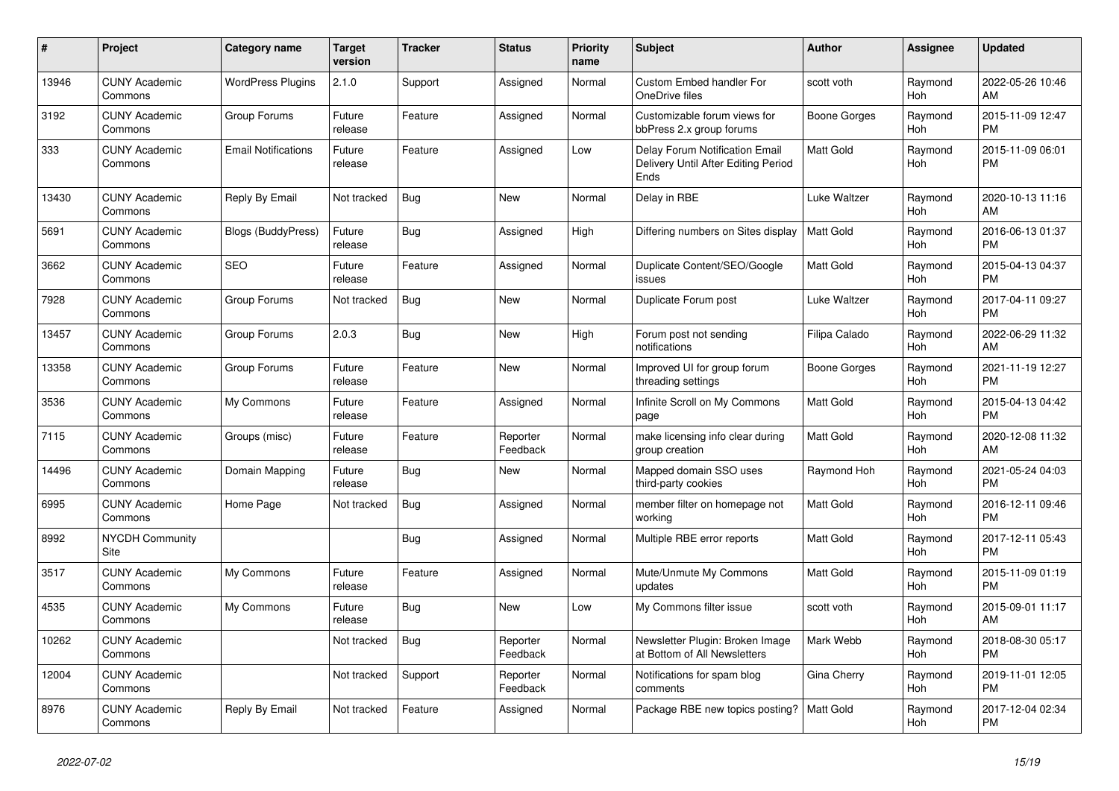| #     | <b>Project</b>                  | Category name              | <b>Target</b><br>version | <b>Tracker</b> | <b>Status</b>        | <b>Priority</b><br>name | <b>Subject</b>                                                                       | <b>Author</b>    | Assignee       | <b>Updated</b>                |
|-------|---------------------------------|----------------------------|--------------------------|----------------|----------------------|-------------------------|--------------------------------------------------------------------------------------|------------------|----------------|-------------------------------|
| 13946 | <b>CUNY Academic</b><br>Commons | <b>WordPress Plugins</b>   | 2.1.0                    | Support        | Assigned             | Normal                  | <b>Custom Embed handler For</b><br>OneDrive files                                    | scott voth       | Raymond<br>Hoh | 2022-05-26 10:46<br>AM        |
| 3192  | <b>CUNY Academic</b><br>Commons | Group Forums               | Future<br>release        | Feature        | Assigned             | Normal                  | Customizable forum views for<br>bbPress 2.x group forums                             | Boone Gorges     | Raymond<br>Hoh | 2015-11-09 12:47<br><b>PM</b> |
| 333   | <b>CUNY Academic</b><br>Commons | <b>Email Notifications</b> | Future<br>release        | Feature        | Assigned             | Low                     | <b>Delay Forum Notification Email</b><br>Delivery Until After Editing Period<br>Ends | Matt Gold        | Raymond<br>Hoh | 2015-11-09 06:01<br><b>PM</b> |
| 13430 | <b>CUNY Academic</b><br>Commons | Reply By Email             | Not tracked              | Bug            | <b>New</b>           | Normal                  | Delay in RBE                                                                         | Luke Waltzer     | Raymond<br>Hoh | 2020-10-13 11:16<br>AM        |
| 5691  | <b>CUNY Academic</b><br>Commons | <b>Blogs (BuddyPress)</b>  | Future<br>release        | <b>Bug</b>     | Assigned             | High                    | Differing numbers on Sites display                                                   | <b>Matt Gold</b> | Raymond<br>Hoh | 2016-06-13 01:37<br><b>PM</b> |
| 3662  | <b>CUNY Academic</b><br>Commons | <b>SEO</b>                 | Future<br>release        | Feature        | Assigned             | Normal                  | Duplicate Content/SEO/Google<br>issues                                               | Matt Gold        | Raymond<br>Hoh | 2015-04-13 04:37<br><b>PM</b> |
| 7928  | <b>CUNY Academic</b><br>Commons | Group Forums               | Not tracked              | Bug            | <b>New</b>           | Normal                  | Duplicate Forum post                                                                 | Luke Waltzer     | Raymond<br>Hoh | 2017-04-11 09:27<br><b>PM</b> |
| 13457 | <b>CUNY Academic</b><br>Commons | Group Forums               | 2.0.3                    | Bug            | New                  | High                    | Forum post not sending<br>notifications                                              | Filipa Calado    | Raymond<br>Hoh | 2022-06-29 11:32<br>AM        |
| 13358 | <b>CUNY Academic</b><br>Commons | Group Forums               | Future<br>release        | Feature        | New                  | Normal                  | Improved UI for group forum<br>threading settings                                    | Boone Gorges     | Raymond<br>Hoh | 2021-11-19 12:27<br><b>PM</b> |
| 3536  | <b>CUNY Academic</b><br>Commons | My Commons                 | Future<br>release        | Feature        | Assigned             | Normal                  | Infinite Scroll on My Commons<br>page                                                | <b>Matt Gold</b> | Raymond<br>Hoh | 2015-04-13 04:42<br><b>PM</b> |
| 7115  | <b>CUNY Academic</b><br>Commons | Groups (misc)              | Future<br>release        | Feature        | Reporter<br>Feedback | Normal                  | make licensing info clear during<br>group creation                                   | Matt Gold        | Raymond<br>Hoh | 2020-12-08 11:32<br>AM        |
| 14496 | <b>CUNY Academic</b><br>Commons | Domain Mapping             | Future<br>release        | Bug            | New                  | Normal                  | Mapped domain SSO uses<br>third-party cookies                                        | Raymond Hoh      | Raymond<br>Hoh | 2021-05-24 04:03<br><b>PM</b> |
| 6995  | <b>CUNY Academic</b><br>Commons | Home Page                  | Not tracked              | <b>Bug</b>     | Assigned             | Normal                  | member filter on homepage not<br>working                                             | <b>Matt Gold</b> | Raymond<br>Hoh | 2016-12-11 09:46<br><b>PM</b> |
| 8992  | <b>NYCDH Community</b><br>Site  |                            |                          | Bug            | Assigned             | Normal                  | Multiple RBE error reports                                                           | Matt Gold        | Raymond<br>Hoh | 2017-12-11 05:43<br><b>PM</b> |
| 3517  | <b>CUNY Academic</b><br>Commons | My Commons                 | Future<br>release        | Feature        | Assigned             | Normal                  | Mute/Unmute My Commons<br>updates                                                    | Matt Gold        | Raymond<br>Hoh | 2015-11-09 01:19<br><b>PM</b> |
| 4535  | <b>CUNY Academic</b><br>Commons | My Commons                 | Future<br>release        | Bug            | <b>New</b>           | Low                     | My Commons filter issue                                                              | scott voth       | Raymond<br>Hoh | 2015-09-01 11:17<br>AM        |
| 10262 | <b>CUNY Academic</b><br>Commons |                            | Not tracked              | Bug            | Reporter<br>Feedback | Normal                  | Newsletter Plugin: Broken Image<br>at Bottom of All Newsletters                      | Mark Webb        | Raymond<br>Hoh | 2018-08-30 05:17<br><b>PM</b> |
| 12004 | <b>CUNY Academic</b><br>Commons |                            | Not tracked              | Support        | Reporter<br>Feedback | Normal                  | Notifications for spam blog<br>comments                                              | Gina Cherry      | Raymond<br>Hoh | 2019-11-01 12:05<br><b>PM</b> |
| 8976  | <b>CUNY Academic</b><br>Commons | Reply By Email             | Not tracked              | Feature        | Assigned             | Normal                  | Package RBE new topics posting?                                                      | <b>Matt Gold</b> | Raymond<br>Hoh | 2017-12-04 02:34<br><b>PM</b> |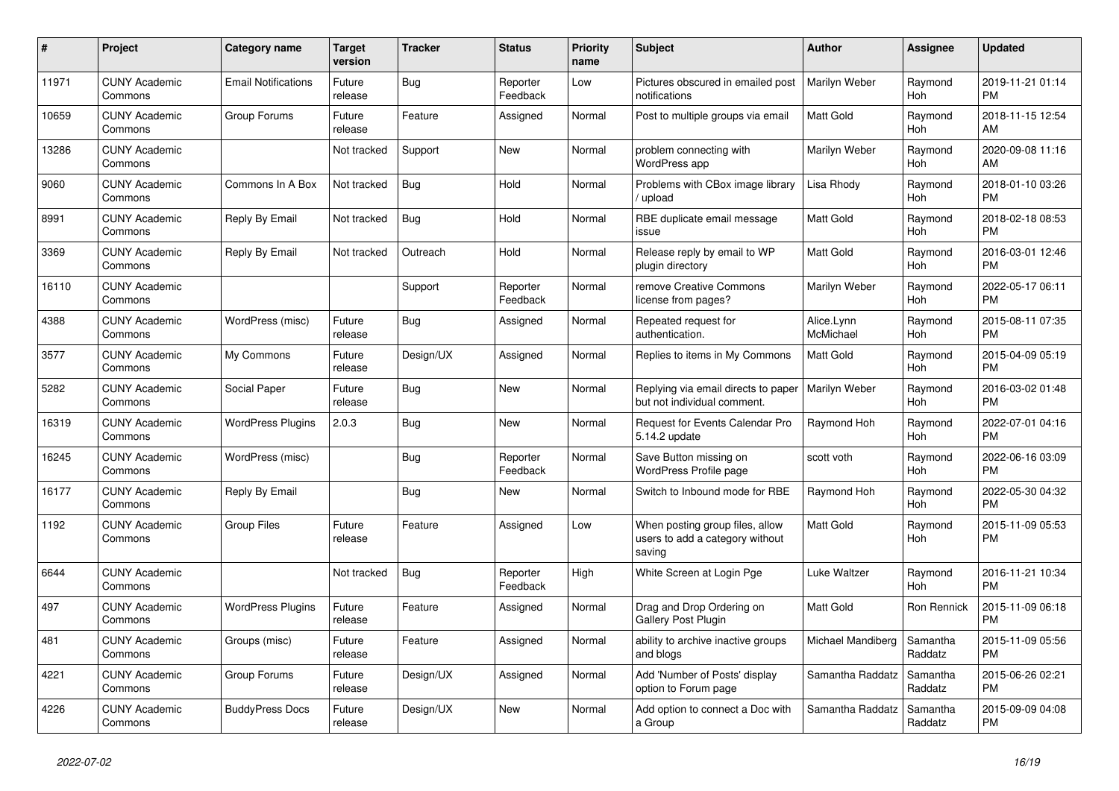| #     | Project                         | Category name              | <b>Target</b><br>version | <b>Tracker</b> | <b>Status</b>        | <b>Priority</b><br>name | <b>Subject</b>                                                               | <b>Author</b>           | Assignee            | <b>Updated</b>                |
|-------|---------------------------------|----------------------------|--------------------------|----------------|----------------------|-------------------------|------------------------------------------------------------------------------|-------------------------|---------------------|-------------------------------|
| 11971 | <b>CUNY Academic</b><br>Commons | <b>Email Notifications</b> | Future<br>release        | <b>Bug</b>     | Reporter<br>Feedback | Low                     | Pictures obscured in emailed post<br>notifications                           | Marilyn Weber           | Raymond<br>Hoh      | 2019-11-21 01:14<br><b>PM</b> |
| 10659 | <b>CUNY Academic</b><br>Commons | Group Forums               | Future<br>release        | Feature        | Assigned             | Normal                  | Post to multiple groups via email                                            | <b>Matt Gold</b>        | Raymond<br>Hoh      | 2018-11-15 12:54<br>AM        |
| 13286 | <b>CUNY Academic</b><br>Commons |                            | Not tracked              | Support        | New                  | Normal                  | problem connecting with<br><b>WordPress app</b>                              | Marilyn Weber           | Raymond<br>Hoh      | 2020-09-08 11:16<br>AM        |
| 9060  | <b>CUNY Academic</b><br>Commons | Commons In A Box           | Not tracked              | <b>Bug</b>     | Hold                 | Normal                  | Problems with CBox image library<br>/ upload                                 | Lisa Rhody              | Raymond<br>Hoh      | 2018-01-10 03:26<br><b>PM</b> |
| 8991  | <b>CUNY Academic</b><br>Commons | Reply By Email             | Not tracked              | <b>Bug</b>     | Hold                 | Normal                  | RBE duplicate email message<br>issue                                         | Matt Gold               | Raymond<br>Hoh      | 2018-02-18 08:53<br><b>PM</b> |
| 3369  | <b>CUNY Academic</b><br>Commons | Reply By Email             | Not tracked              | Outreach       | Hold                 | Normal                  | Release reply by email to WP<br>plugin directory                             | Matt Gold               | Raymond<br>Hoh      | 2016-03-01 12:46<br><b>PM</b> |
| 16110 | <b>CUNY Academic</b><br>Commons |                            |                          | Support        | Reporter<br>Feedback | Normal                  | remove Creative Commons<br>license from pages?                               | Marilyn Weber           | Raymond<br>Hoh      | 2022-05-17 06:11<br><b>PM</b> |
| 4388  | <b>CUNY Academic</b><br>Commons | WordPress (misc)           | Future<br>release        | Bug            | Assigned             | Normal                  | Repeated request for<br>authentication.                                      | Alice.Lynn<br>McMichael | Raymond<br>Hoh      | 2015-08-11 07:35<br><b>PM</b> |
| 3577  | <b>CUNY Academic</b><br>Commons | My Commons                 | Future<br>release        | Design/UX      | Assigned             | Normal                  | Replies to items in My Commons                                               | Matt Gold               | Raymond<br>Hoh      | 2015-04-09 05:19<br><b>PM</b> |
| 5282  | <b>CUNY Academic</b><br>Commons | Social Paper               | Future<br>release        | <b>Bug</b>     | New                  | Normal                  | Replying via email directs to paper<br>but not individual comment.           | <b>Marilyn Weber</b>    | Raymond<br>Hoh      | 2016-03-02 01:48<br><b>PM</b> |
| 16319 | <b>CUNY Academic</b><br>Commons | <b>WordPress Plugins</b>   | 2.0.3                    | Bug            | <b>New</b>           | Normal                  | <b>Request for Events Calendar Pro</b><br>5.14.2 update                      | Raymond Hoh             | Raymond<br>Hoh      | 2022-07-01 04:16<br><b>PM</b> |
| 16245 | <b>CUNY Academic</b><br>Commons | WordPress (misc)           |                          | <b>Bug</b>     | Reporter<br>Feedback | Normal                  | Save Button missing on<br><b>WordPress Profile page</b>                      | scott voth              | Raymond<br>Hoh      | 2022-06-16 03:09<br><b>PM</b> |
| 16177 | <b>CUNY Academic</b><br>Commons | Reply By Email             |                          | Bug            | New                  | Normal                  | Switch to Inbound mode for RBE                                               | Raymond Hoh             | Raymond<br>Hoh      | 2022-05-30 04:32<br><b>PM</b> |
| 1192  | <b>CUNY Academic</b><br>Commons | <b>Group Files</b>         | Future<br>release        | Feature        | Assigned             | Low                     | When posting group files, allow<br>users to add a category without<br>saving | <b>Matt Gold</b>        | Raymond<br>Hoh      | 2015-11-09 05:53<br><b>PM</b> |
| 6644  | <b>CUNY Academic</b><br>Commons |                            | Not tracked              | <b>Bug</b>     | Reporter<br>Feedback | High                    | White Screen at Login Pge                                                    | Luke Waltzer            | Raymond<br>Hoh      | 2016-11-21 10:34<br><b>PM</b> |
| 497   | <b>CUNY Academic</b><br>Commons | <b>WordPress Plugins</b>   | Future<br>release        | Feature        | Assigned             | Normal                  | Drag and Drop Ordering on<br><b>Gallery Post Plugin</b>                      | <b>Matt Gold</b>        | Ron Rennick         | 2015-11-09 06:18<br><b>PM</b> |
| 481   | <b>CUNY Academic</b><br>Commons | Groups (misc)              | Future<br>release        | Feature        | Assigned             | Normal                  | ability to archive inactive groups<br>and blogs                              | Michael Mandiberg       | Samantha<br>Raddatz | 2015-11-09 05:56<br><b>PM</b> |
| 4221  | <b>CUNY Academic</b><br>Commons | Group Forums               | Future<br>release        | Design/UX      | Assigned             | Normal                  | Add 'Number of Posts' display<br>option to Forum page                        | Samantha Raddatz        | Samantha<br>Raddatz | 2015-06-26 02:21<br><b>PM</b> |
| 4226  | <b>CUNY Academic</b><br>Commons | <b>BuddyPress Docs</b>     | Future<br>release        | Design/UX      | <b>New</b>           | Normal                  | Add option to connect a Doc with<br>a Group                                  | Samantha Raddatz        | Samantha<br>Raddatz | 2015-09-09 04:08<br><b>PM</b> |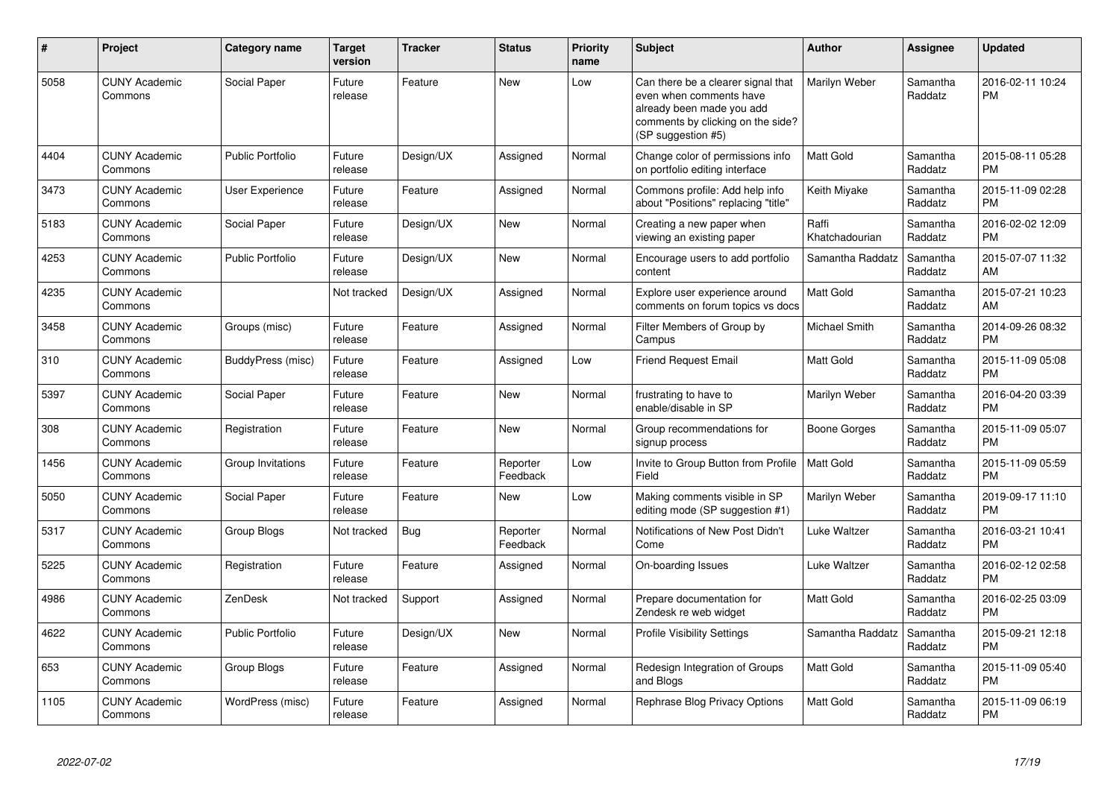| #    | <b>Project</b>                  | Category name           | <b>Target</b><br>version | <b>Tracker</b> | <b>Status</b>        | <b>Priority</b><br>name | <b>Subject</b>                                                                                                                                        | <b>Author</b>           | Assignee            | <b>Updated</b>                |
|------|---------------------------------|-------------------------|--------------------------|----------------|----------------------|-------------------------|-------------------------------------------------------------------------------------------------------------------------------------------------------|-------------------------|---------------------|-------------------------------|
| 5058 | <b>CUNY Academic</b><br>Commons | Social Paper            | Future<br>release        | Feature        | <b>New</b>           | Low                     | Can there be a clearer signal that<br>even when comments have<br>already been made you add<br>comments by clicking on the side?<br>(SP suggestion #5) | Marilyn Weber           | Samantha<br>Raddatz | 2016-02-11 10:24<br>PM        |
| 4404 | <b>CUNY Academic</b><br>Commons | <b>Public Portfolio</b> | Future<br>release        | Design/UX      | Assigned             | Normal                  | Change color of permissions info<br>on portfolio editing interface                                                                                    | Matt Gold               | Samantha<br>Raddatz | 2015-08-11 05:28<br><b>PM</b> |
| 3473 | <b>CUNY Academic</b><br>Commons | User Experience         | Future<br>release        | Feature        | Assigned             | Normal                  | Commons profile: Add help info<br>about "Positions" replacing "title"                                                                                 | Keith Mivake            | Samantha<br>Raddatz | 2015-11-09 02:28<br><b>PM</b> |
| 5183 | <b>CUNY Academic</b><br>Commons | Social Paper            | Future<br>release        | Design/UX      | New                  | Normal                  | Creating a new paper when<br>viewing an existing paper                                                                                                | Raffi<br>Khatchadourian | Samantha<br>Raddatz | 2016-02-02 12:09<br><b>PM</b> |
| 4253 | <b>CUNY Academic</b><br>Commons | <b>Public Portfolio</b> | Future<br>release        | Design/UX      | New                  | Normal                  | Encourage users to add portfolio<br>content                                                                                                           | Samantha Raddatz        | Samantha<br>Raddatz | 2015-07-07 11:32<br>AM        |
| 4235 | <b>CUNY Academic</b><br>Commons |                         | Not tracked              | Design/UX      | Assigned             | Normal                  | Explore user experience around<br>comments on forum topics vs docs                                                                                    | Matt Gold               | Samantha<br>Raddatz | 2015-07-21 10:23<br>AM        |
| 3458 | <b>CUNY Academic</b><br>Commons | Groups (misc)           | Future<br>release        | Feature        | Assigned             | Normal                  | Filter Members of Group by<br>Campus                                                                                                                  | Michael Smith           | Samantha<br>Raddatz | 2014-09-26 08:32<br>PM        |
| 310  | <b>CUNY Academic</b><br>Commons | BuddyPress (misc)       | Future<br>release        | Feature        | Assigned             | Low                     | <b>Friend Request Email</b>                                                                                                                           | Matt Gold               | Samantha<br>Raddatz | 2015-11-09 05:08<br><b>PM</b> |
| 5397 | <b>CUNY Academic</b><br>Commons | Social Paper            | Future<br>release        | Feature        | <b>New</b>           | Normal                  | frustrating to have to<br>enable/disable in SP                                                                                                        | Marilyn Weber           | Samantha<br>Raddatz | 2016-04-20 03:39<br><b>PM</b> |
| 308  | <b>CUNY Academic</b><br>Commons | Registration            | Future<br>release        | Feature        | <b>New</b>           | Normal                  | Group recommendations for<br>signup process                                                                                                           | Boone Gorges            | Samantha<br>Raddatz | 2015-11-09 05:07<br>PM        |
| 1456 | <b>CUNY Academic</b><br>Commons | Group Invitations       | Future<br>release        | Feature        | Reporter<br>Feedback | Low                     | Invite to Group Button from Profile<br>Field                                                                                                          | Matt Gold               | Samantha<br>Raddatz | 2015-11-09 05:59<br><b>PM</b> |
| 5050 | <b>CUNY Academic</b><br>Commons | Social Paper            | Future<br>release        | Feature        | New                  | Low                     | Making comments visible in SP<br>editing mode (SP suggestion #1)                                                                                      | Marilyn Weber           | Samantha<br>Raddatz | 2019-09-17 11:10<br><b>PM</b> |
| 5317 | <b>CUNY Academic</b><br>Commons | Group Blogs             | Not tracked              | Bug            | Reporter<br>Feedback | Normal                  | Notifications of New Post Didn't<br>Come                                                                                                              | Luke Waltzer            | Samantha<br>Raddatz | 2016-03-21 10:41<br>PM        |
| 5225 | <b>CUNY Academic</b><br>Commons | Registration            | Future<br>release        | Feature        | Assigned             | Normal                  | On-boarding Issues                                                                                                                                    | Luke Waltzer            | Samantha<br>Raddatz | 2016-02-12 02:58<br><b>PM</b> |
| 4986 | <b>CUNY Academic</b><br>Commons | ZenDesk                 | Not tracked              | Support        | Assigned             | Normal                  | Prepare documentation for<br>Zendesk re web widget                                                                                                    | Matt Gold               | Samantha<br>Raddatz | 2016-02-25 03:09<br><b>PM</b> |
| 4622 | <b>CUNY Academic</b><br>Commons | <b>Public Portfolio</b> | Future<br>release        | Design/UX      | New                  | Normal                  | <b>Profile Visibility Settings</b>                                                                                                                    | Samantha Raddatz        | Samantha<br>Raddatz | 2015-09-21 12:18<br><b>PM</b> |
| 653  | <b>CUNY Academic</b><br>Commons | Group Blogs             | Future<br>release        | Feature        | Assigned             | Normal                  | Redesign Integration of Groups<br>and Blogs                                                                                                           | Matt Gold               | Samantha<br>Raddatz | 2015-11-09 05:40<br><b>PM</b> |
| 1105 | <b>CUNY Academic</b><br>Commons | WordPress (misc)        | Future<br>release        | Feature        | Assigned             | Normal                  | Rephrase Blog Privacy Options                                                                                                                         | Matt Gold               | Samantha<br>Raddatz | 2015-11-09 06:19<br><b>PM</b> |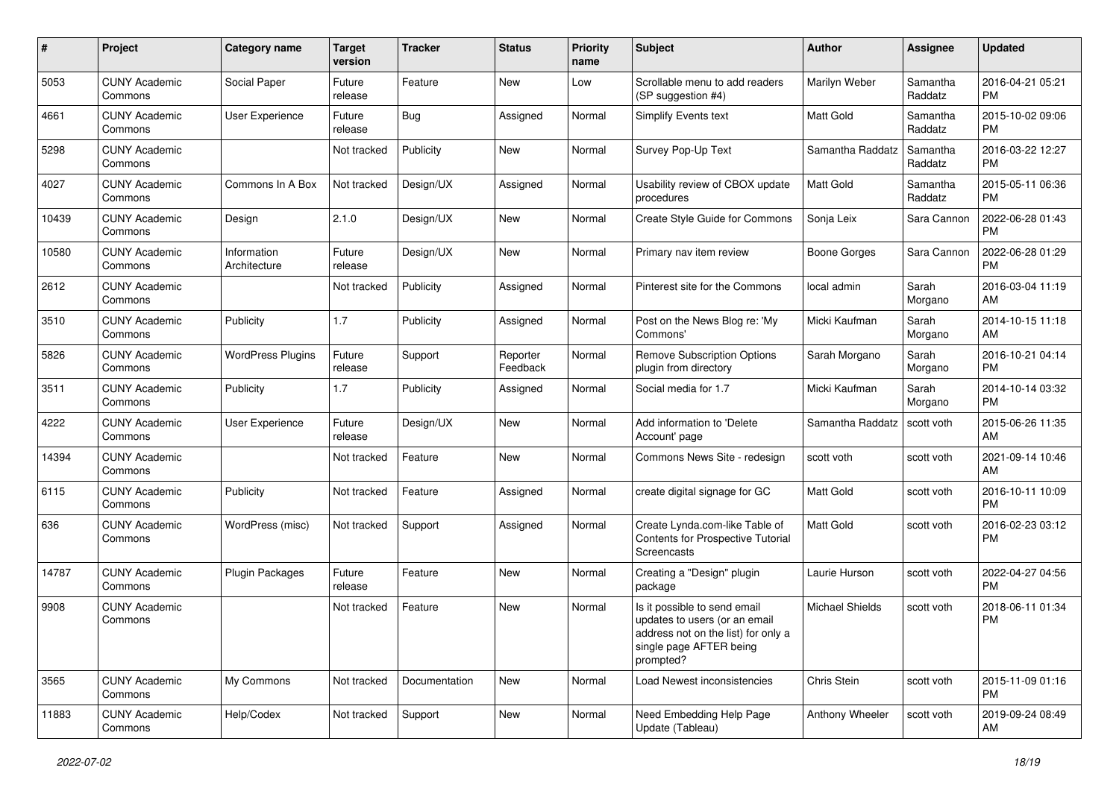| #     | Project                         | Category name               | <b>Target</b><br>version | <b>Tracker</b> | <b>Status</b>        | <b>Priority</b><br>name | Subject                                                                                                                                      | Author                 | Assignee            | <b>Updated</b>                |
|-------|---------------------------------|-----------------------------|--------------------------|----------------|----------------------|-------------------------|----------------------------------------------------------------------------------------------------------------------------------------------|------------------------|---------------------|-------------------------------|
| 5053  | <b>CUNY Academic</b><br>Commons | Social Paper                | Future<br>release        | Feature        | <b>New</b>           | Low                     | Scrollable menu to add readers<br>(SP suggestion #4)                                                                                         | Marilyn Weber          | Samantha<br>Raddatz | 2016-04-21 05:21<br><b>PM</b> |
| 4661  | <b>CUNY Academic</b><br>Commons | User Experience             | Future<br>release        | Bug            | Assigned             | Normal                  | <b>Simplify Events text</b>                                                                                                                  | Matt Gold              | Samantha<br>Raddatz | 2015-10-02 09:06<br><b>PM</b> |
| 5298  | <b>CUNY Academic</b><br>Commons |                             | Not tracked              | Publicity      | New                  | Normal                  | Survey Pop-Up Text                                                                                                                           | Samantha Raddatz       | Samantha<br>Raddatz | 2016-03-22 12:27<br><b>PM</b> |
| 4027  | <b>CUNY Academic</b><br>Commons | Commons In A Box            | Not tracked              | Design/UX      | Assigned             | Normal                  | Usability review of CBOX update<br>procedures                                                                                                | Matt Gold              | Samantha<br>Raddatz | 2015-05-11 06:36<br><b>PM</b> |
| 10439 | <b>CUNY Academic</b><br>Commons | Design                      | 2.1.0                    | Design/UX      | New                  | Normal                  | Create Style Guide for Commons                                                                                                               | Sonja Leix             | Sara Cannon         | 2022-06-28 01:43<br><b>PM</b> |
| 10580 | <b>CUNY Academic</b><br>Commons | Information<br>Architecture | Future<br>release        | Design/UX      | <b>New</b>           | Normal                  | Primary nav item review                                                                                                                      | Boone Gorges           | Sara Cannon         | 2022-06-28 01:29<br><b>PM</b> |
| 2612  | <b>CUNY Academic</b><br>Commons |                             | Not tracked              | Publicity      | Assigned             | Normal                  | Pinterest site for the Commons                                                                                                               | local admin            | Sarah<br>Morgano    | 2016-03-04 11:19<br>AM        |
| 3510  | <b>CUNY Academic</b><br>Commons | Publicity                   | 1.7                      | Publicity      | Assigned             | Normal                  | Post on the News Blog re: 'My<br>Commons'                                                                                                    | Micki Kaufman          | Sarah<br>Morgano    | 2014-10-15 11:18<br>AM        |
| 5826  | <b>CUNY Academic</b><br>Commons | <b>WordPress Plugins</b>    | Future<br>release        | Support        | Reporter<br>Feedback | Normal                  | Remove Subscription Options<br>plugin from directory                                                                                         | Sarah Morgano          | Sarah<br>Morgano    | 2016-10-21 04:14<br><b>PM</b> |
| 3511  | <b>CUNY Academic</b><br>Commons | Publicity                   | 1.7                      | Publicity      | Assigned             | Normal                  | Social media for 1.7                                                                                                                         | Micki Kaufman          | Sarah<br>Morgano    | 2014-10-14 03:32<br><b>PM</b> |
| 4222  | <b>CUNY Academic</b><br>Commons | User Experience             | Future<br>release        | Design/UX      | <b>New</b>           | Normal                  | Add information to 'Delete<br>Account' page                                                                                                  | Samantha Raddatz       | scott voth          | 2015-06-26 11:35<br>AM        |
| 14394 | <b>CUNY Academic</b><br>Commons |                             | Not tracked              | Feature        | <b>New</b>           | Normal                  | Commons News Site - redesign                                                                                                                 | scott voth             | scott voth          | 2021-09-14 10:46<br>AM        |
| 6115  | <b>CUNY Academic</b><br>Commons | Publicity                   | Not tracked              | Feature        | Assigned             | Normal                  | create digital signage for GC                                                                                                                | Matt Gold              | scott voth          | 2016-10-11 10:09<br><b>PM</b> |
| 636   | <b>CUNY Academic</b><br>Commons | WordPress (misc)            | Not tracked              | Support        | Assigned             | Normal                  | Create Lynda.com-like Table of<br>Contents for Prospective Tutorial<br>Screencasts                                                           | <b>Matt Gold</b>       | scott voth          | 2016-02-23 03:12<br><b>PM</b> |
| 14787 | <b>CUNY Academic</b><br>Commons | Plugin Packages             | Future<br>release        | Feature        | <b>New</b>           | Normal                  | Creating a "Design" plugin<br>package                                                                                                        | Laurie Hurson          | scott voth          | 2022-04-27 04:56<br><b>PM</b> |
| 9908  | <b>CUNY Academic</b><br>Commons |                             | Not tracked              | Feature        | <b>New</b>           | Normal                  | Is it possible to send email<br>updates to users (or an email<br>address not on the list) for only a<br>single page AFTER being<br>prompted? | <b>Michael Shields</b> | scott voth          | 2018-06-11 01:34<br><b>PM</b> |
| 3565  | <b>CUNY Academic</b><br>Commons | My Commons                  | Not tracked              | Documentation  | New                  | Normal                  | Load Newest inconsistencies                                                                                                                  | Chris Stein            | scott voth          | 2015-11-09 01:16<br><b>PM</b> |
| 11883 | <b>CUNY Academic</b><br>Commons | Help/Codex                  | Not tracked              | Support        | New                  | Normal                  | Need Embedding Help Page<br>Update (Tableau)                                                                                                 | Anthony Wheeler        | scott voth          | 2019-09-24 08:49<br>AM        |